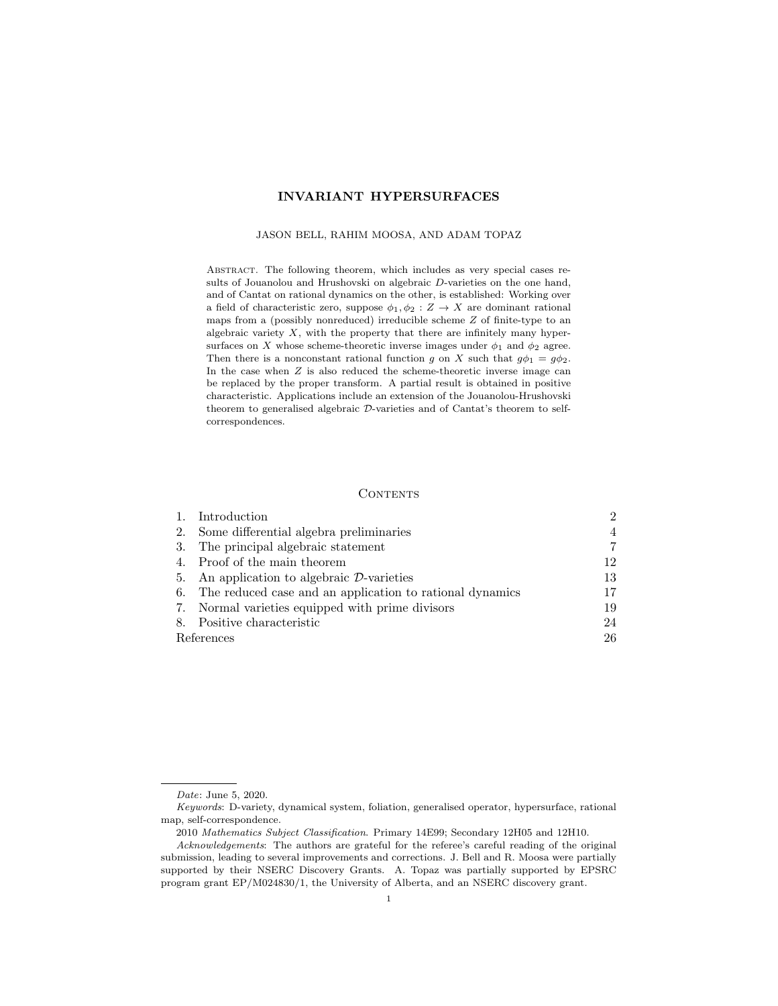# INVARIANT HYPERSURFACES

### JASON BELL, RAHIM MOOSA, AND ADAM TOPAZ

Abstract. The following theorem, which includes as very special cases results of Jouanolou and Hrushovski on algebraic D-varieties on the one hand, and of Cantat on rational dynamics on the other, is established: Working over a field of characteristic zero, suppose  $\phi_1, \phi_2 : Z \to X$  are dominant rational maps from a (possibly nonreduced) irreducible scheme  $Z$  of finite-type to an algebraic variety  $X$ , with the property that there are infinitely many hypersurfaces on X whose scheme-theoretic inverse images under  $\phi_1$  and  $\phi_2$  agree. Then there is a nonconstant rational function g on X such that  $g\phi_1 = g\phi_2$ . In the case when  $Z$  is also reduced the scheme-theoretic inverse image can be replaced by the proper transform. A partial result is obtained in positive characteristic. Applications include an extension of the Jouanolou-Hrushovski theorem to generalised algebraic D-varieties and of Cantat's theorem to selfcorrespondences.

### **CONTENTS**

|            | 1. Introduction                                             | $\mathcal{D}_{\mathcal{L}}$ |
|------------|-------------------------------------------------------------|-----------------------------|
| 2.         | Some differential algebra preliminaries                     | 4                           |
|            | 3. The principal algebraic statement                        |                             |
|            | 4. Proof of the main theorem                                | 12                          |
|            | 5. An application to algebraic $\mathcal{D}$ -varieties     | 13                          |
|            | 6. The reduced case and an application to rational dynamics | 17                          |
|            | 7. Normal varieties equipped with prime divisors            | 19                          |
|            | 8. Positive characteristic                                  | 24                          |
| References |                                                             | 26                          |

Date: June 5, 2020.

Keywords: D-variety, dynamical system, foliation, generalised operator, hypersurface, rational map, self-correspondence.

<sup>2010</sup> Mathematics Subject Classification. Primary 14E99; Secondary 12H05 and 12H10.

Acknowledgements: The authors are grateful for the referee's careful reading of the original submission, leading to several improvements and corrections. J. Bell and R. Moosa were partially supported by their NSERC Discovery Grants. A. Topaz was partially supported by EPSRC program grant EP/M024830/1, the University of Alberta, and an NSERC discovery grant.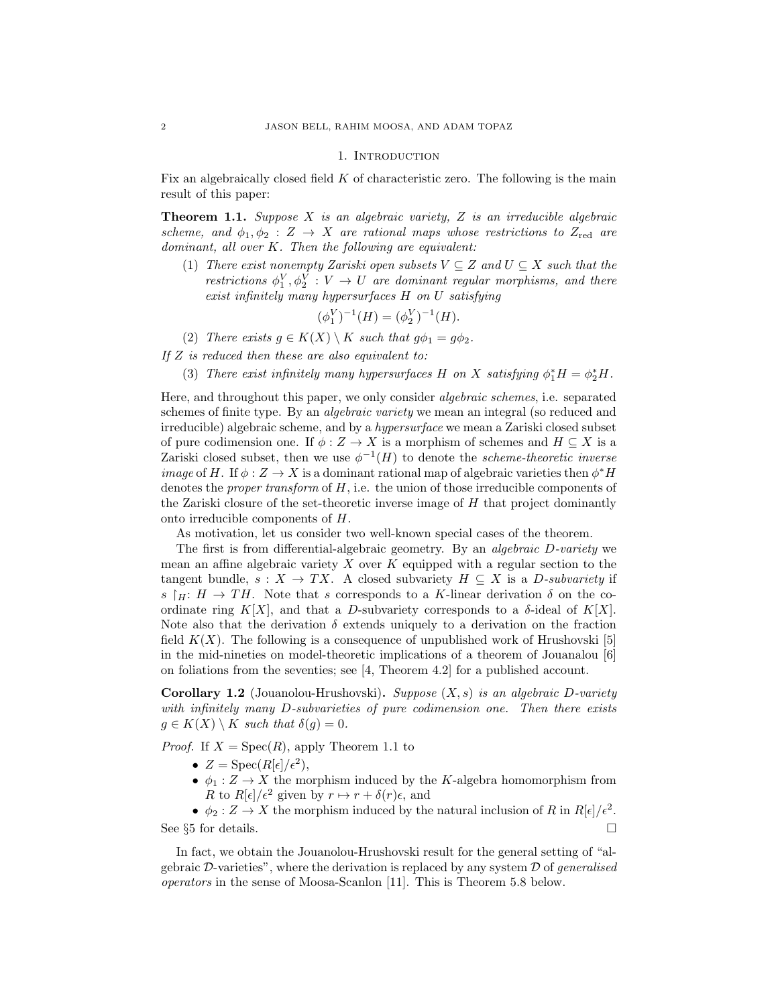### 1. INTRODUCTION

Fix an algebraically closed field  $K$  of characteristic zero. The following is the main result of this paper:

**Theorem 1.1.** Suppose  $X$  is an algebraic variety,  $Z$  is an irreducible algebraic scheme, and  $\phi_1, \phi_2 : Z \to X$  are rational maps whose restrictions to  $Z_{\text{red}}$  are dominant, all over K. Then the following are equivalent:

(1) There exist nonempty Zariski open subsets  $V \subseteq Z$  and  $U \subseteq X$  such that the restrictions  $\phi_1^V, \phi_2^V : V \to U$  are dominant regular morphisms, and there exist infinitely many hypersurfaces H on U satisfying

$$
(\phi_1^V)^{-1}(H) = (\phi_2^V)^{-1}(H).
$$

(2) There exists  $g \in K(X) \setminus K$  such that  $g\phi_1 = g\phi_2$ .

If Z is reduced then these are also equivalent to:

(3) There exist infinitely many hypersurfaces H on X satisfying  $\phi_1^* H = \phi_2^* H$ .

Here, and throughout this paper, we only consider algebraic schemes, i.e. separated schemes of finite type. By an *algebraic variety* we mean an integral (so reduced and irreducible) algebraic scheme, and by a hypersurface we mean a Zariski closed subset of pure codimension one. If  $\phi: Z \to X$  is a morphism of schemes and  $H \subseteq X$  is a Zariski closed subset, then we use  $\phi^{-1}(H)$  to denote the *scheme-theoretic inverse image* of H. If  $\phi$  :  $Z \rightarrow X$  is a dominant rational map of algebraic varieties then  $\phi^* H$ denotes the *proper transform* of  $H$ , i.e. the union of those irreducible components of the Zariski closure of the set-theoretic inverse image of  $H$  that project dominantly onto irreducible components of H.

As motivation, let us consider two well-known special cases of the theorem.

The first is from differential-algebraic geometry. By an algebraic D-variety we mean an affine algebraic variety  $X$  over  $K$  equipped with a regular section to the tangent bundle,  $s: X \to TX$ . A closed subvariety  $H \subseteq X$  is a D-subvariety if s  $\vert H: H \to TH$ . Note that s corresponds to a K-linear derivation  $\delta$  on the coordinate ring K[X], and that a D-subvariety corresponds to a  $\delta$ -ideal of K[X]. Note also that the derivation  $\delta$  extends uniquely to a derivation on the fraction field  $K(X)$ . The following is a consequence of unpublished work of Hrushovski [5] in the mid-nineties on model-theoretic implications of a theorem of Jouanalou [6] on foliations from the seventies; see [4, Theorem 4.2] for a published account.

**Corollary 1.2** (Jouanolou-Hrushovski). Suppose  $(X, s)$  is an algebraic D-variety with infinitely many D-subvarieties of pure codimension one. Then there exists  $q \in K(X) \setminus K$  such that  $\delta(q) = 0$ .

*Proof.* If  $X = \text{Spec}(R)$ , apply Theorem 1.1 to

- $Z = \text{Spec}(R[\epsilon]/\epsilon^2),$
- $\phi_1 : Z \to X$  the morphism induced by the K-algebra homomorphism from R to  $R[\epsilon]/\epsilon^2$  given by  $r \mapsto r + \delta(r)\epsilon$ , and

•  $\phi_2: Z \to X$  the morphism induced by the natural inclusion of R in  $R[\epsilon]/\epsilon^2$ . See §5 for details. □

In fact, we obtain the Jouanolou-Hrushovski result for the general setting of "algebraic  $\mathcal{D}$ -varieties", where the derivation is replaced by any system  $\mathcal D$  of *generalised* operators in the sense of Moosa-Scanlon [11]. This is Theorem 5.8 below.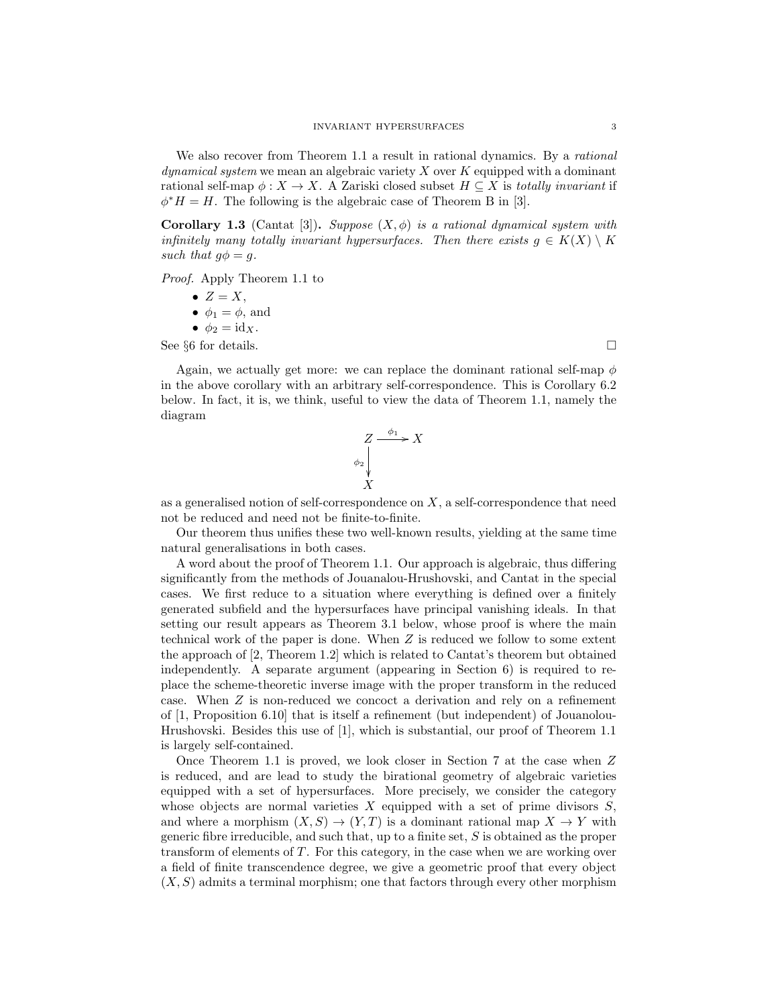We also recover from Theorem 1.1 a result in rational dynamics. By a *rational*  $dynamical system$  we mean an algebraic variety  $X$  over  $K$  equipped with a dominant rational self-map  $\phi: X \to X$ . A Zariski closed subset  $H \subseteq X$  is totally invariant if  $\phi^* H = H$ . The following is the algebraic case of Theorem B in [3].

Corollary 1.3 (Cantat [3]). Suppose  $(X, \phi)$  is a rational dynamical system with infinitely many totally invariant hypersurfaces. Then there exists  $q \in K(X) \setminus K$ such that  $q\phi = q$ .

Proof. Apply Theorem 1.1 to

- $Z = X$ ,
- $\phi_1 = \phi$ , and
- $\phi_2 = \mathrm{id}_X$ .

See  $§6$  for details.

Again, we actually get more: we can replace the dominant rational self-map  $\phi$ in the above corollary with an arbitrary self-correspondence. This is Corollary 6.2 below. In fact, it is, we think, useful to view the data of Theorem 1.1, namely the diagram

$$
\begin{array}{c}\nZ \xrightarrow{\phi_1} X \\
\downarrow \\
X\n\end{array}
$$

as a generalised notion of self-correspondence on  $X$ , a self-correspondence that need not be reduced and need not be finite-to-finite.

Our theorem thus unifies these two well-known results, yielding at the same time natural generalisations in both cases.

A word about the proof of Theorem 1.1. Our approach is algebraic, thus differing significantly from the methods of Jouanalou-Hrushovski, and Cantat in the special cases. We first reduce to a situation where everything is defined over a finitely generated subfield and the hypersurfaces have principal vanishing ideals. In that setting our result appears as Theorem 3.1 below, whose proof is where the main technical work of the paper is done. When Z is reduced we follow to some extent the approach of [2, Theorem 1.2] which is related to Cantat's theorem but obtained independently. A separate argument (appearing in Section 6) is required to replace the scheme-theoretic inverse image with the proper transform in the reduced case. When Z is non-reduced we concoct a derivation and rely on a refinement of [1, Proposition 6.10] that is itself a refinement (but independent) of Jouanolou-Hrushovski. Besides this use of [1], which is substantial, our proof of Theorem 1.1 is largely self-contained.

Once Theorem 1.1 is proved, we look closer in Section 7 at the case when Z is reduced, and are lead to study the birational geometry of algebraic varieties equipped with a set of hypersurfaces. More precisely, we consider the category whose objects are normal varieties  $X$  equipped with a set of prime divisors  $S$ , and where a morphism  $(X, S) \to (Y, T)$  is a dominant rational map  $X \to Y$  with generic fibre irreducible, and such that, up to a finite set, S is obtained as the proper transform of elements of T. For this category, in the case when we are working over a field of finite transcendence degree, we give a geometric proof that every object  $(X, S)$  admits a terminal morphism; one that factors through every other morphism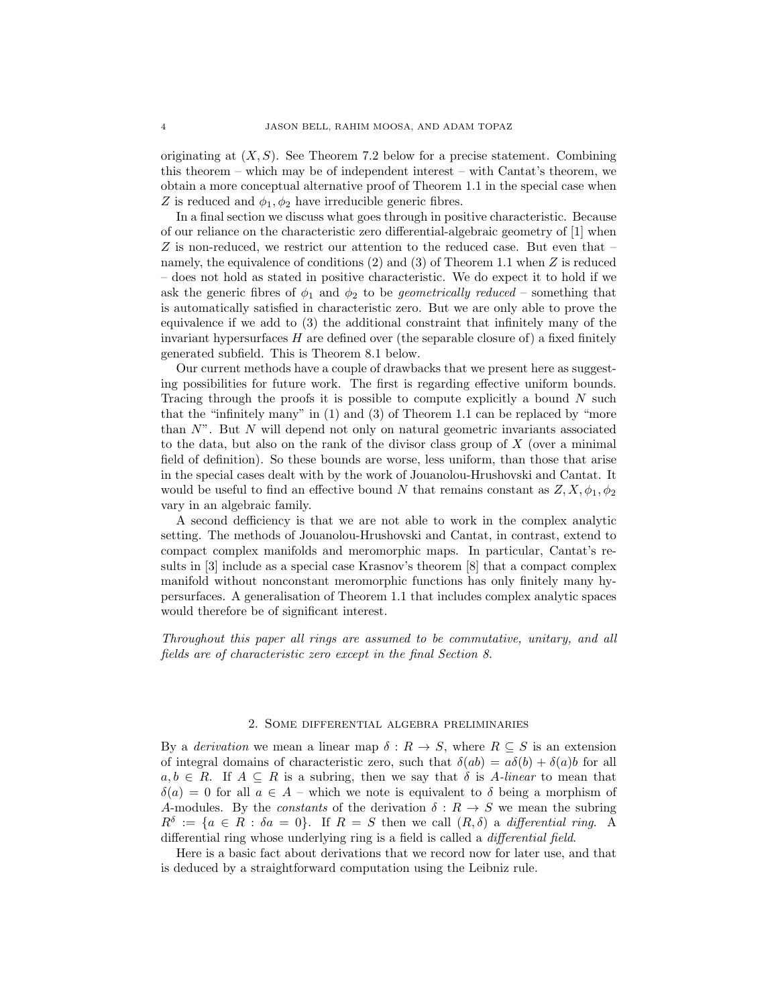originating at  $(X, S)$ . See Theorem 7.2 below for a precise statement. Combining this theorem – which may be of independent interest – with Cantat's theorem, we obtain a more conceptual alternative proof of Theorem 1.1 in the special case when Z is reduced and  $\phi_1, \phi_2$  have irreducible generic fibres.

In a final section we discuss what goes through in positive characteristic. Because of our reliance on the characteristic zero differential-algebraic geometry of [1] when Z is non-reduced, we restrict our attention to the reduced case. But even that – namely, the equivalence of conditions (2) and (3) of Theorem 1.1 when Z is reduced – does not hold as stated in positive characteristic. We do expect it to hold if we ask the generic fibres of  $\phi_1$  and  $\phi_2$  to be *geometrically reduced* – something that is automatically satisfied in characteristic zero. But we are only able to prove the equivalence if we add to (3) the additional constraint that infinitely many of the invariant hypersurfaces  $H$  are defined over (the separable closure of) a fixed finitely generated subfield. This is Theorem 8.1 below.

Our current methods have a couple of drawbacks that we present here as suggesting possibilities for future work. The first is regarding effective uniform bounds. Tracing through the proofs it is possible to compute explicitly a bound  $N$  such that the "infinitely many" in (1) and (3) of Theorem 1.1 can be replaced by "more than  $N$ ". But  $N$  will depend not only on natural geometric invariants associated to the data, but also on the rank of the divisor class group of  $X$  (over a minimal field of definition). So these bounds are worse, less uniform, than those that arise in the special cases dealt with by the work of Jouanolou-Hrushovski and Cantat. It would be useful to find an effective bound N that remains constant as  $Z, X, \phi_1, \phi_2$ vary in an algebraic family.

A second defficiency is that we are not able to work in the complex analytic setting. The methods of Jouanolou-Hrushovski and Cantat, in contrast, extend to compact complex manifolds and meromorphic maps. In particular, Cantat's results in [3] include as a special case Krasnov's theorem [8] that a compact complex manifold without nonconstant meromorphic functions has only finitely many hypersurfaces. A generalisation of Theorem 1.1 that includes complex analytic spaces would therefore be of significant interest.

Throughout this paper all rings are assumed to be commutative, unitary, and all fields are of characteristic zero except in the final Section 8.

#### 2. Some differential algebra preliminaries

By a *derivation* we mean a linear map  $\delta : R \to S$ , where  $R \subseteq S$  is an extension of integral domains of characteristic zero, such that  $\delta(ab) = a\delta(b) + \delta(a)b$  for all  $a, b \in R$ . If  $A \subseteq R$  is a subring, then we say that  $\delta$  is A-linear to mean that  $\delta(a) = 0$  for all  $a \in A$  – which we note is equivalent to  $\delta$  being a morphism of A-modules. By the *constants* of the derivation  $\delta: R \to S$  we mean the subring  $R^{\delta} := \{a \in R : \delta a = 0\}.$  If  $R = S$  then we call  $(R, \delta)$  a differential ring. A differential ring whose underlying ring is a field is called a differential field.

Here is a basic fact about derivations that we record now for later use, and that is deduced by a straightforward computation using the Leibniz rule.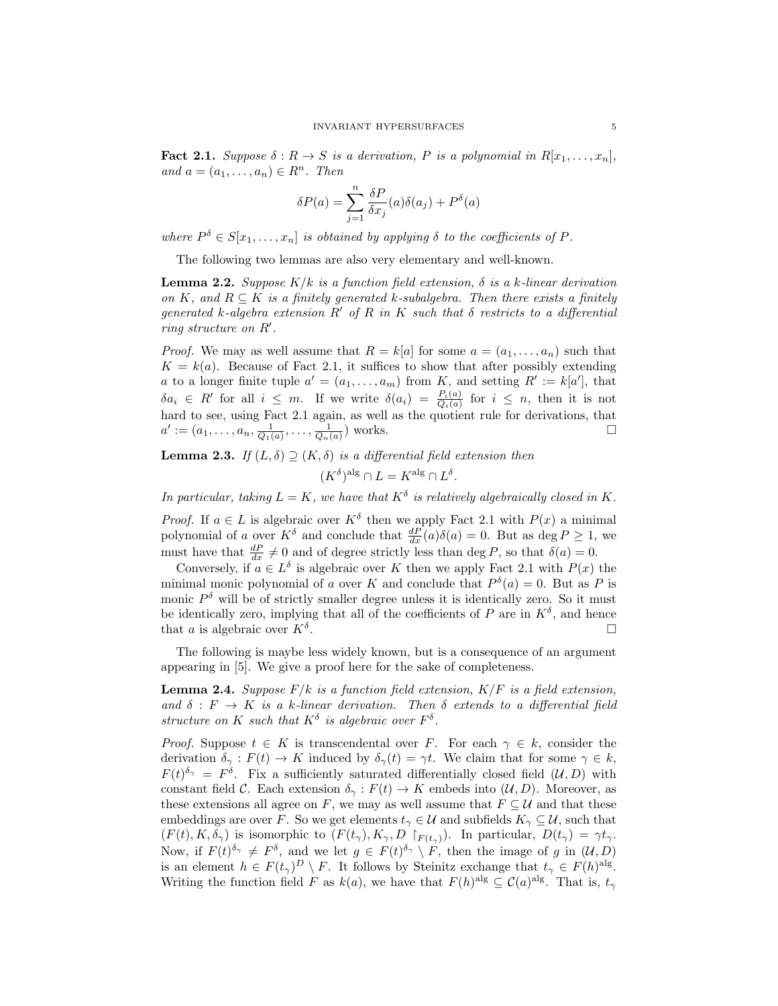**Fact 2.1.** Suppose  $\delta: R \to S$  is a derivation, P is a polynomial in  $R[x_1, \ldots, x_n]$ , and  $a = (a_1, \ldots, a_n) \in R^n$ . Then

$$
\delta P(a) = \sum_{j=1}^{n} \frac{\delta P}{\delta x_j}(a)\delta(a_j) + P^{\delta}(a)
$$

where  $P^{\delta} \in S[x_1, \ldots, x_n]$  is obtained by applying  $\delta$  to the coefficients of P.

The following two lemmas are also very elementary and well-known.

**Lemma 2.2.** Suppose  $K/k$  is a function field extension,  $\delta$  is a k-linear derivation on K, and  $R \subseteq K$  is a finitely generated k-subalgebra. Then there exists a finitely generated k-algebra extension R' of R in K such that  $\delta$  restricts to a differential ring structure on  $R'$ .

*Proof.* We may as well assume that  $R = k[a]$  for some  $a = (a_1, \ldots, a_n)$  such that  $K = k(a)$ . Because of Fact 2.1, it suffices to show that after possibly extending a to a longer finite tuple  $a' = (a_1, \ldots, a_m)$  from K, and setting  $R' := k[a']$ , that  $\delta a_i \in R'$  for all  $i \leq m$ . If we write  $\delta (a_i) = \frac{P_i(a)}{Q_i(a)}$  for  $i \leq n$ , then it is not hard to see, using Fact 2.1 again, as well as the quotient rule for derivations, that  $a' := (a_1, \ldots, a_n, \frac{1}{Q_1(a)}, \ldots, \frac{1}{Q_n(a)})$  works.

**Lemma 2.3.** If  $(L, \delta) \supseteq (K, \delta)$  is a differential field extension then

$$
(K^{\delta})^{\text{alg}} \cap L = K^{\text{alg}} \cap L^{\delta}.
$$

In particular, taking  $L = K$ , we have that  $K^{\delta}$  is relatively algebraically closed in K.

*Proof.* If  $a \in L$  is algebraic over  $K^{\delta}$  then we apply Fact 2.1 with  $P(x)$  a minimal polynomial of a over  $K^{\delta}$  and conclude that  $\frac{dP}{dx}(a)\delta(a) = 0$ . But as  $\deg P \ge 1$ , we must have that  $\frac{dP}{dx} \neq 0$  and of degree strictly less than deg P, so that  $\delta(a) = 0$ .

Conversely, if  $a \in L^{\delta}$  is algebraic over K then we apply Fact 2.1 with  $P(x)$  the minimal monic polynomial of a over K and conclude that  $P^{\delta}(a) = 0$ . But as P is monic  $P^{\delta}$  will be of strictly smaller degree unless it is identically zero. So it must be identically zero, implying that all of the coefficients of P are in  $K^{\delta}$ , and hence that a is algebraic over  $K^{\delta}$ . . В последните последните последните последните последните последните последните последните последните последн<br>В последните последните последните последните последните последните последните последните последните последнит

The following is maybe less widely known, but is a consequence of an argument appearing in [5]. We give a proof here for the sake of completeness.

**Lemma 2.4.** Suppose  $F/k$  is a function field extension,  $K/F$  is a field extension, and  $\delta : F \to K$  is a k-linear derivation. Then  $\delta$  extends to a differential field structure on K such that  $K^{\delta}$  is algebraic over  $F^{\delta}$ .

*Proof.* Suppose  $t \in K$  is transcendental over F. For each  $\gamma \in k$ , consider the derivation  $\delta_{\gamma}: F(t) \to K$  induced by  $\delta_{\gamma}(t) = \gamma t$ . We claim that for some  $\gamma \in k$ ,  $F(t)^{\delta_{\gamma}} = F^{\delta}$ . Fix a sufficiently saturated differentially closed field  $(\mathcal{U}, D)$  with constant field C. Each extension  $\delta_{\gamma}: F(t) \to K$  embeds into  $(\mathcal{U}, D)$ . Moreover, as these extensions all agree on F, we may as well assume that  $F \subseteq U$  and that these embeddings are over F. So we get elements  $t_{\gamma} \in \mathcal{U}$  and subfields  $K_{\gamma} \subseteq \mathcal{U}$ , such that  $(F(t), K, \delta_\gamma)$  is isomorphic to  $(F(t_\gamma), K_\gamma, D \upharpoonright_{F(t_\gamma)})$ . In particular,  $D(t_\gamma) = \gamma t_\gamma$ . Now, if  $F(t)^{\delta_{\gamma}} \neq F^{\delta}$ , and we let  $g \in F(t)^{\delta_{\gamma}} \setminus F$ , then the image of g in  $(\mathcal{U}, D)$ is an element  $h \in F(t_\gamma)^D \setminus F$ . It follows by Steinitz exchange that  $t_\gamma \in F(h)^{\text{alg}}$ . Writing the function field F as  $k(a)$ , we have that  $F(h)^{alg} \subseteq C(a)^{alg}$ . That is,  $t_{\gamma}$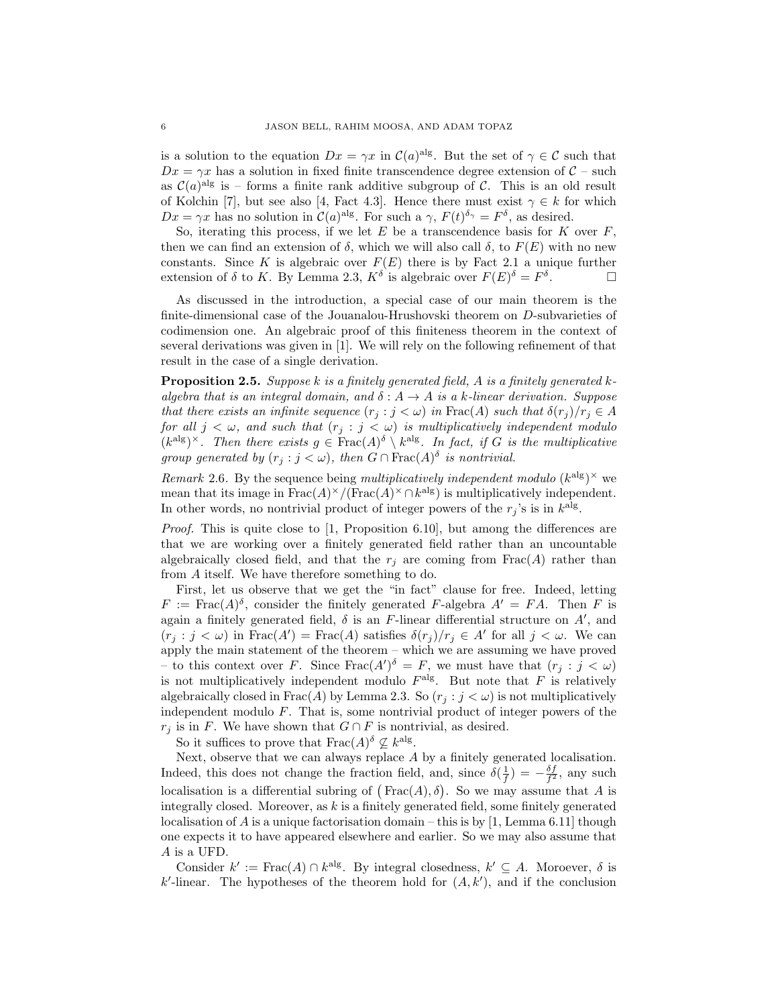is a solution to the equation  $Dx = \gamma x$  in  $\mathcal{C}(a)^{alg}$ . But the set of  $\gamma \in \mathcal{C}$  such that  $Dx = \gamma x$  has a solution in fixed finite transcendence degree extension of  $C$  – such as  $\mathcal{C}(a)^{alg}$  is – forms a finite rank additive subgroup of C. This is an old result of Kolchin [7], but see also [4, Fact 4.3]. Hence there must exist  $\gamma \in k$  for which  $Dx = \gamma x$  has no solution in  $\mathcal{C}(a)^{alg}$ . For such a  $\gamma$ ,  $F(t)^{\delta_{\gamma}} = F^{\delta}$ , as desired.

So, iterating this process, if we let  $E$  be a transcendence basis for  $K$  over  $F$ , then we can find an extension of  $\delta$ , which we will also call  $\delta$ , to  $F(E)$  with no new constants. Since K is algebraic over  $F(E)$  there is by Fact 2.1 a unique further extension of  $\delta$  to K. By Lemma 2.3,  $K^{\delta}$  is algebraic over  $F(E)^{\delta} = F^{\delta}$ . — П

As discussed in the introduction, a special case of our main theorem is the finite-dimensional case of the Jouanalou-Hrushovski theorem on D-subvarieties of codimension one. An algebraic proof of this finiteness theorem in the context of several derivations was given in [1]. We will rely on the following refinement of that result in the case of a single derivation.

**Proposition 2.5.** Suppose k is a finitely generated field, A is a finitely generated kalgebra that is an integral domain, and  $\delta: A \to A$  is a k-linear derivation. Suppose that there exists an infinite sequence  $(r_i : j < \omega)$  in Frac(A) such that  $\delta(r_i)/r_i \in A$ for all  $j < \omega$ , and such that  $(r_j : j < \omega)$  is multiplicatively independent modulo  $(k^{\text{alg}})^{\times}$ . Then there exists  $g \in \text{Frac}(A)^{\delta} \setminus k^{\text{alg}}$ . In fact, if G is the multiplicative group generated by  $(r_j : j < \omega)$ , then  $G \cap \text{Frac}(A)$ <sup>s</sup> is nontrivial.

Remark 2.6. By the sequence being multiplicatively independent modulo  $(k^{alg})^{\times}$  we mean that its image in  $\text{Frac}(A)^{\times}/(\text{Frac}(A)^{\times} \cap k^{\text{alg}})$  is multiplicatively independent. In other words, no nontrivial product of integer powers of the  $r_j$ 's is in  $k^{\text{alg}}$ .

*Proof.* This is quite close to  $[1,$  Proposition 6.10, but among the differences are that we are working over a finitely generated field rather than an uncountable algebraically closed field, and that the  $r_i$  are coming from Frac(A) rather than from A itself. We have therefore something to do.

First, let us observe that we get the "in fact" clause for free. Indeed, letting  $F := \text{Frac}(A)^\delta$ , consider the finitely generated F-algebra  $A' = FA$ . Then F is again a finitely generated field,  $\delta$  is an F-linear differential structure on  $A'$ , and  $(r_j : j < \omega)$  in  $\text{Frac}(A') = \text{Frac}(A)$  satisfies  $\delta(r_j)/r_j \in A'$  for all  $j < \omega$ . We can apply the main statement of the theorem – which we are assuming we have proved – to this context over F. Since  $\text{Frac}(A')^{\delta} = F$ , we must have that  $(r_j : j < \omega)$ is not multiplicatively independent modulo  $F^{\text{alg}}$ . But note that F is relatively algebraically closed in Frac(A) by Lemma 2.3. So  $(r_i : j < \omega)$  is not multiplicatively independent modulo F. That is, some nontrivial product of integer powers of the  $r_j$  is in F. We have shown that  $G \cap F$  is nontrivial, as desired.

So it suffices to prove that  $\text{Frac}(A)^\delta \nsubseteq k^{\text{alg}}$ .

Next, observe that we can always replace A by a finitely generated localisation. Indeed, this does not change the fraction field, and, since  $\delta(\frac{1}{f}) = -\frac{\delta f}{f^2}$ , any such localisation is a differential subring of  $(text{Frac}(A), \delta)$ . So we may assume that A is integrally closed. Moreover, as  $k$  is a finitely generated field, some finitely generated localisation of A is a unique factorisation domain – this is by  $[1, \text{Lemma 6.11}]$  though one expects it to have appeared elsewhere and earlier. So we may also assume that A is a UFD.

Consider  $k' := \text{Frac}(A) \cap k^{\text{alg}}$ . By integral closedness,  $k' \subseteq A$ . Moroever,  $\delta$  is  $k'$ -linear. The hypotheses of the theorem hold for  $(A, k')$ , and if the conclusion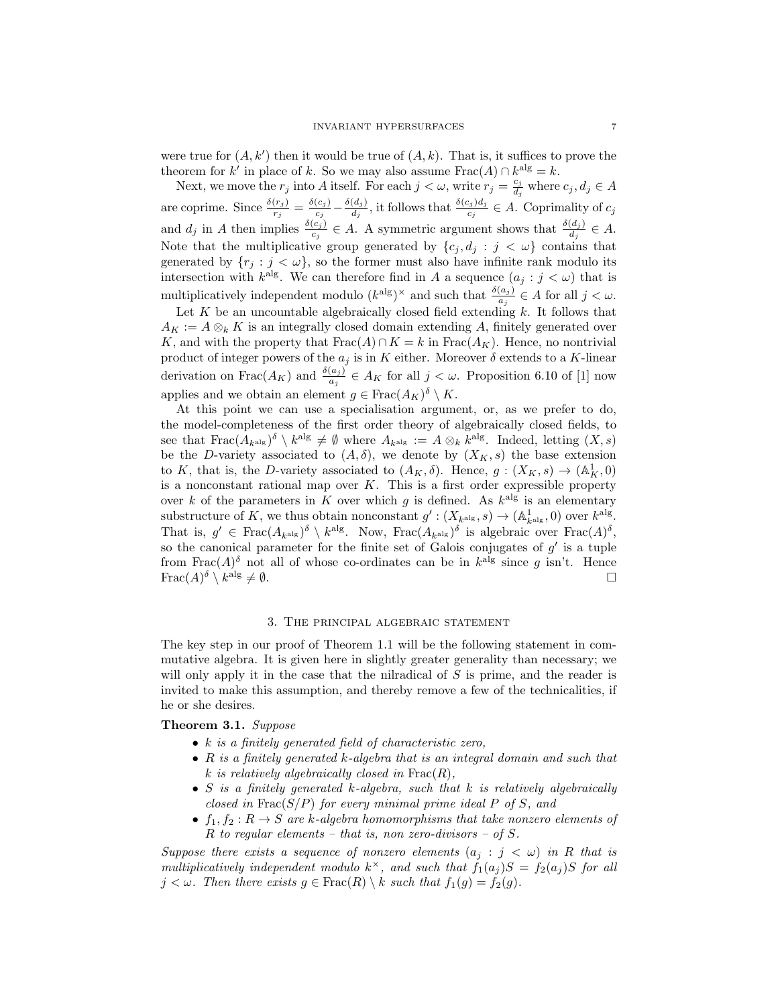were true for  $(A, k')$  then it would be true of  $(A, k)$ . That is, it suffices to prove the theorem for k' in place of k. So we may also assume  $\text{Frac}(A) \cap k^{\text{alg}} = k$ .

Next, we move the  $r_j$  into A itself. For each  $j < \omega$ , write  $r_j = \frac{c_j}{d_j}$  $\frac{c_j}{d_j}$  where  $c_j, d_j \in A$ are coprime. Since  $\frac{\delta(r_j)}{r_j} = \frac{\delta(c_j)}{c_j}$  $\frac{(c_j)}{c_j} - \frac{\delta(d_j)}{d_j}$  $\frac{(d_j)}{d_j}$ , it follows that  $\frac{\delta(c_j)d_j}{c_j} \in A$ . Coprimality of  $c_j$ and  $d_j$  in A then implies  $\frac{\delta(c_j)}{c_j} \in A$ . A symmetric argument shows that  $\frac{\delta(d_j)}{d_j} \in A$ . Note that the multiplicative group generated by  $\{c_j, d_j : j < \omega\}$  contains that generated by  $\{r_j : j < \omega\}$ , so the former must also have infinite rank modulo its intersection with  $k^{\text{alg}}$ . We can therefore find in A a sequence  $(a_j : j < \omega)$  that is multiplicatively independent modulo  $(k^{\text{alg}})^{\times}$  and such that  $\frac{\delta(a_j)}{a_j} \in A$  for all  $j < \omega$ .

Let  $K$  be an uncountable algebraically closed field extending  $k$ . It follows that  $A_K := A \otimes_k K$  is an integrally closed domain extending A, finitely generated over K, and with the property that  $\text{Frac}(A) \cap K = k$  in  $\text{Frac}(A_K)$ . Hence, no nontrivial product of integer powers of the  $a_j$  is in  $K$  either. Moreover  $\delta$  extends to a  $K\text{-linear}$ derivation on  $\text{Frac}(A_K)$  and  $\frac{\delta(a_j)}{a_j} \in A_K$  for all  $j < \omega$ . Proposition 6.10 of [1] now applies and we obtain an element  $g \in \text{Frac}(A_K)^{\delta} \setminus K$ .

At this point we can use a specialisation argument, or, as we prefer to do, the model-completeness of the first order theory of algebraically closed fields, to see that  $\text{Frac}(A_{k^{\text{alg}}})^{\delta} \setminus k^{\text{alg}} \neq \emptyset$  where  $A_{k^{\text{alg}}} := A \otimes_k k^{\text{alg}}$ . Indeed, letting  $(X, s)$ be the D-variety associated to  $(A, \delta)$ , we denote by  $(X_K, s)$  the base extension to K, that is, the D-variety associated to  $(A_K, \delta)$ . Hence,  $g: (X_K, s) \to (\mathbb{A}^1_K, 0)$ is a nonconstant rational map over  $K$ . This is a first order expressible property over k of the parameters in K over which g is defined. As  $k^{\text{alg}}$  is an elementary substructure of K, we thus obtain nonconstant  $g': (X_{k^{\text{alg}}}, s) \to (\mathbb{A}^1_{k^{\text{alg}}}, 0)$  over  $k^{\text{alg}}$ . That is,  $g' \in \text{Frac}(A_{k^{\text{alg}}})^{\delta} \setminus k^{\text{alg}}$ . Now,  $\text{Frac}(A_{k^{\text{alg}}})^{\delta}$  is algebraic over  $\text{Frac}(A)^{\delta}$ , so the canonical parameter for the finite set of Galois conjugates of  $g'$  is a tuple from Frac $(A)$ <sup> $\delta$ </sup> not all of whose co-ordinates can be in  $k^{\text{alg}}$  since g isn't. Hence  $\operatorname{Frac}(A)^\delta\setminus k$  $\log \neq \emptyset$ .

### 3. The principal algebraic statement

The key step in our proof of Theorem 1.1 will be the following statement in commutative algebra. It is given here in slightly greater generality than necessary; we will only apply it in the case that the nilradical of  $S$  is prime, and the reader is invited to make this assumption, and thereby remove a few of the technicalities, if he or she desires.

# Theorem 3.1. Suppose

- $k$  is a finitely generated field of characteristic zero,
- $R$  is a finitely generated  $k$ -algebra that is an integral domain and such that k is relatively algebraically closed in  $\text{Frac}(R)$ ,
- S is a finitely generated  $k$ -algebra, such that  $k$  is relatively algebraically closed in  $\text{Frac}(S/P)$  for every minimal prime ideal P of S, and
- $f_1, f_2 : R \to S$  are k-algebra homomorphisms that take nonzero elements of R to regular elements – that is, non zero-divisors – of S.

Suppose there exists a sequence of nonzero elements  $(a_j : j < \omega)$  in R that is multiplicatively independent modulo  $k^{\times}$ , and such that  $f_1(a_j)S = f_2(a_j)S$  for all  $j < \omega$ . Then there exists  $g \in Frac(R) \setminus k$  such that  $f_1(g) = f_2(g)$ .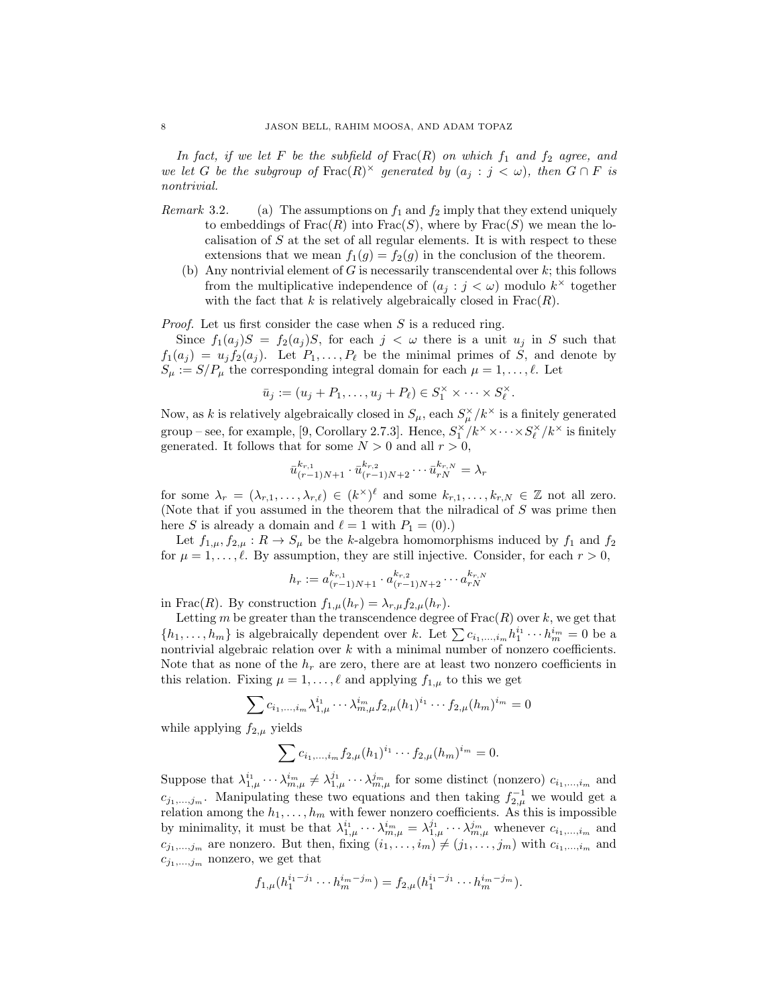In fact, if we let F be the subfield of  $\text{Frac}(R)$  on which  $f_1$  and  $f_2$  agree, and we let G be the subgroup of  $\text{Frac}(R)^{\times}$  generated by  $(a_j : j < \omega)$ , then  $G \cap F$  is nontrivial.

- Remark 3.2. (a) The assumptions on  $f_1$  and  $f_2$  imply that they extend uniquely to embeddings of  $Frac(R)$  into  $Frac(S)$ , where by  $Frac(S)$  we mean the localisation of S at the set of all regular elements. It is with respect to these extensions that we mean  $f_1(q) = f_2(q)$  in the conclusion of the theorem.
	- (b) Any nontrivial element of  $G$  is necessarily transcendental over  $k$ ; this follows from the multiplicative independence of  $(a_j : j < \omega)$  modulo  $k^{\times}$  together with the fact that k is relatively algebraically closed in  $Frac(R)$ .

Proof. Let us first consider the case when S is a reduced ring.

Since  $f_1(a_j)S = f_2(a_j)S$ , for each  $j < \omega$  there is a unit  $u_j$  in S such that  $f_1(a_j) = u_j f_2(a_j)$ . Let  $P_1, \ldots, P_\ell$  be the minimal primes of S, and denote by  $S_{\mu} := S/P_{\mu}$  the corresponding integral domain for each  $\mu = 1, \ldots, \ell$ . Let

$$
\bar{u}_j := (u_j + P_1, \dots, u_j + P_\ell) \in S_1^\times \times \dots \times S_\ell^\times.
$$

Now, as k is relatively algebraically closed in  $S_{\mu}$ , each  $S_{\mu}^{\times}/k^{\times}$  is a finitely generated group – see, for example, [9, Corollary 2.7.3]. Hence,  $S_1^{\times}/k^{\times} \times \cdots \times S_\ell^{\times}/k^{\times}$  is finitely generated. It follows that for some  $N > 0$  and all  $r > 0$ ,

$$
\bar{u}_{(r-1)N+1}^{k_{r,1}} \cdot \bar{u}_{(r-1)N+2}^{k_{r,2}} \cdots \bar{u}_{rN}^{k_{r,N}} = \lambda_r
$$

for some  $\lambda_r = (\lambda_{r,1}, \ldots, \lambda_{r,\ell}) \in (k^\times)^{\ell}$  and some  $k_{r,1}, \ldots, k_{r,N} \in \mathbb{Z}$  not all zero. (Note that if you assumed in the theorem that the nilradical of S was prime then here S is already a domain and  $\ell = 1$  with  $P_1 = (0).$ 

Let  $f_{1,\mu}, f_{2,\mu}: R \to S_\mu$  be the k-algebra homomorphisms induced by  $f_1$  and  $f_2$ for  $\mu = 1, \ldots, \ell$ . By assumption, they are still injective. Consider, for each  $r > 0$ ,

$$
h_r := a_{(r-1)N+1}^{k_{r,1}} \cdot a_{(r-1)N+2}^{k_{r,2}} \cdots a_{rN}^{k_{r,N}}
$$

in Frac $(R)$ . By construction  $f_{1,\mu}(h_r) = \lambda_{r,\mu} f_{2,\mu}(h_r)$ .

Letting m be greater than the transcendence degree of  $Frac(R)$  over k, we get that  $\{h_1, \ldots, h_m\}$  is algebraically dependent over k. Let  $\sum c_{i_1,\ldots,i_m} h_1^{i_1} \cdots h_m^{i_m} = 0$  be a nontrivial algebraic relation over  $k$  with a minimal number of nonzero coefficients. Note that as none of the  $h_r$  are zero, there are at least two nonzero coefficients in this relation. Fixing  $\mu = 1, \ldots, \ell$  and applying  $f_{1,\mu}$  to this we get

$$
\sum c_{i_1,\dots,i_m} \lambda_{1,\mu}^{i_1} \cdots \lambda_{m,\mu}^{i_m} f_{2,\mu}(h_1)^{i_1} \cdots f_{2,\mu}(h_m)^{i_m} = 0
$$

while applying  $f_{2,\mu}$  yields

$$
\sum c_{i_1,\dots,i_m} f_{2,\mu}(h_1)^{i_1} \cdots f_{2,\mu}(h_m)^{i_m} = 0.
$$

Suppose that  $\lambda_{1,\mu}^{i_1} \cdots \lambda_{m,\mu}^{i_m} \neq \lambda_{1,\mu}^{j_1} \cdots \lambda_{m,\mu}^{j_m}$  for some distinct (nonzero)  $c_{i_1,\dots,i_m}$  and  $c_{j_1,\dots,j_m}$ . Manipulating these two equations and then taking  $f_{2,\mu}^{-1}$  we would get a relation among the  $h_1, \ldots, h_m$  with fewer nonzero coefficients. As this is impossible by minimality, it must be that  $\lambda_{1,\mu}^{i_1} \cdots \lambda_{m,\mu}^{i_m} = \lambda_{1,\mu}^{j_1} \cdots \lambda_{m,\mu}^{j_m}$  whenever  $c_{i_1,\dots,i_m}$  and  $c_{j_1,...,j_m}$  are nonzero. But then, fixing  $(i_1,...,i_m) \neq (j_1,...,j_m)$  with  $c_{i_1,...,i_m}$  and  $c_{j_1,...,j_m}$  nonzero, we get that

$$
f_{1,\mu}(h_1^{i_1-j_1}\cdots h_m^{i_m-j_m})=f_{2,\mu}(h_1^{i_1-j_1}\cdots h_m^{i_m-j_m}).
$$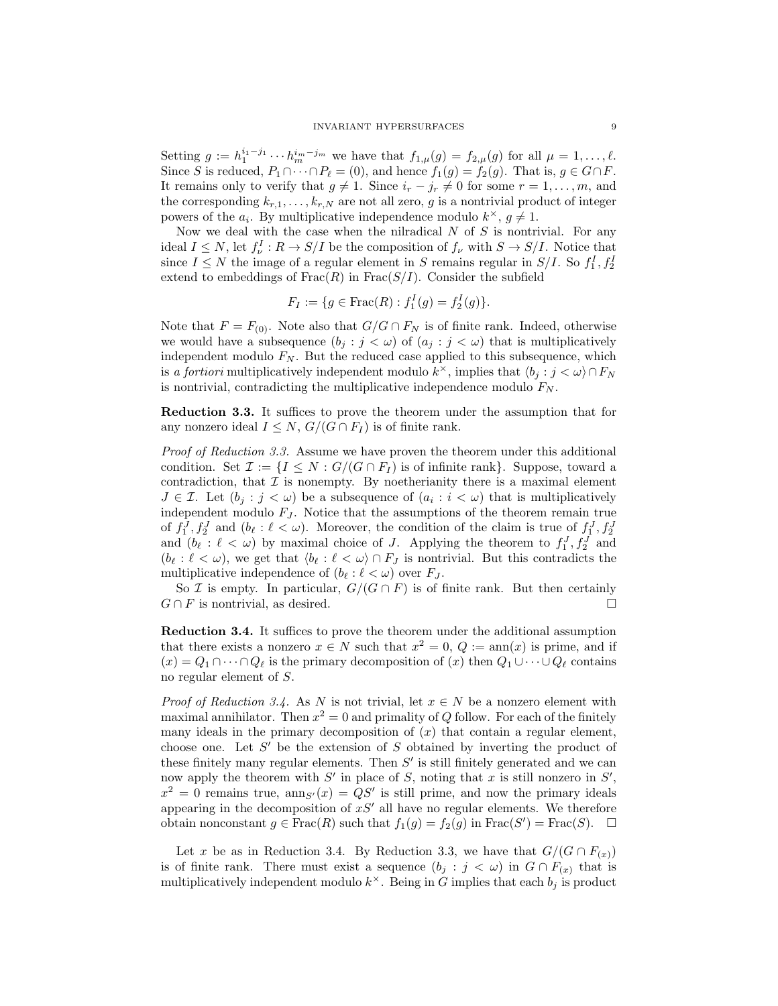Setting  $g := h_1^{i_1-j_1} \cdots h_m^{i_m-j_m}$  we have that  $f_{1,\mu}(g) = f_{2,\mu}(g)$  for all  $\mu = 1, \ldots, \ell$ . Since S is reduced,  $P_1 \cap \cdots \cap P_\ell = (0)$ , and hence  $f_1(g) = f_2(g)$ . That is,  $g \in G \cap F$ . It remains only to verify that  $g \neq 1$ . Since  $i_r - j_r \neq 0$  for some  $r = 1, \ldots, m$ , and the corresponding  $k_{r,1}, \ldots, k_{r,N}$  are not all zero, g is a nontrivial product of integer powers of the  $a_i$ . By multiplicative independence modulo  $k^{\times}$ ,  $g \neq 1$ .

Now we deal with the case when the nilradical  $N$  of  $S$  is nontrivial. For any ideal  $I \leq N$ , let  $f_{\nu}^I : R \to S/I$  be the composition of  $f_{\nu}$  with  $S \to S/I$ . Notice that since  $I \leq N$  the image of a regular element in S remains regular in  $S/I$ . So  $f_1^I, f_2^I$ extend to embeddings of  $Frac(R)$  in  $Frac(S/I)$ . Consider the subfield

$$
F_I := \{ g \in \text{Frac}(R) : f_1^I(g) = f_2^I(g) \}.
$$

Note that  $F = F_{(0)}$ . Note also that  $G/G \cap F_N$  is of finite rank. Indeed, otherwise we would have a subsequence  $(b_j : j < \omega)$  of  $(a_j : j < \omega)$  that is multiplicatively independent modulo  $F_N$ . But the reduced case applied to this subsequence, which is a fortiori multiplicatively independent modulo  $k^{\times}$ , implies that  $\langle b_j : j < \omega \rangle \cap F_N$ is nontrivial, contradicting the multiplicative independence modulo  $F_N$ .

Reduction 3.3. It suffices to prove the theorem under the assumption that for any nonzero ideal  $I \leq N$ ,  $G/(G \cap F_I)$  is of finite rank.

Proof of Reduction 3.3. Assume we have proven the theorem under this additional condition. Set  $\mathcal{I} := \{I \leq N : G/(G \cap F_I) \text{ is of infinite rank}\}.$  Suppose, toward a contradiction, that  $\mathcal I$  is nonempty. By noetherianity there is a maximal element  $J \in \mathcal{I}$ . Let  $(b_j : j < \omega)$  be a subsequence of  $(a_i : i < \omega)$  that is multiplicatively independent modulo  $F_J$ . Notice that the assumptions of the theorem remain true of  $f_1^J, f_2^J$  and  $(b_\ell : \ell < \omega)$ . Moreover, the condition of the claim is true of  $f_1^J, f_2^J$ and  $(b_{\ell} : \ell < \omega)$  by maximal choice of J. Applying the theorem to  $f_1^J, f_2^J$  and  $(b_{\ell} : \ell < \omega)$ , we get that  $\langle b_{\ell} : \ell < \omega \rangle \cap F_J$  is nontrivial. But this contradicts the multiplicative independence of  $(b_{\ell} : \ell < \omega)$  over  $F_J$ .

So *I* is empty. In particular,  $G/(G \cap F)$  is of finite rank. But then certainly  $G \cap F$  is nontrivial, as desired.

Reduction 3.4. It suffices to prove the theorem under the additional assumption that there exists a nonzero  $x \in N$  such that  $x^2 = 0$ ,  $Q := \text{ann}(x)$  is prime, and if  $(x) = Q_1 \cap \cdots \cap Q_\ell$  is the primary decomposition of  $(x)$  then  $Q_1 \cup \cdots \cup Q_\ell$  contains no regular element of S.

*Proof of Reduction 3.4.* As N is not trivial, let  $x \in N$  be a nonzero element with maximal annihilator. Then  $x^2 = 0$  and primality of Q follow. For each of the finitely many ideals in the primary decomposition of  $(x)$  that contain a regular element, choose one. Let  $S'$  be the extension of  $S$  obtained by inverting the product of these finitely many regular elements. Then  $S'$  is still finitely generated and we can now apply the theorem with  $S'$  in place of S, noting that x is still nonzero in  $S'$ ,  $x^2 = 0$  remains true,  $\text{ann}_{S'}(x) = QS'$  is still prime, and now the primary ideals appearing in the decomposition of  $xS'$  all have no regular elements. We therefore obtain nonconstant  $g \in Frac(R)$  such that  $f_1(g) = f_2(g)$  in  $Frac(S') = Frac(S)$ .  $\Box$ 

Let x be as in Reduction 3.4. By Reduction 3.3, we have that  $G/(G \cap F_{(x)})$ is of finite rank. There must exist a sequence  $(b_i : j < \omega)$  in  $G \cap F_{(x)}$  that is multiplicatively independent modulo  $k^{\times}$ . Being in G implies that each  $b_j$  is product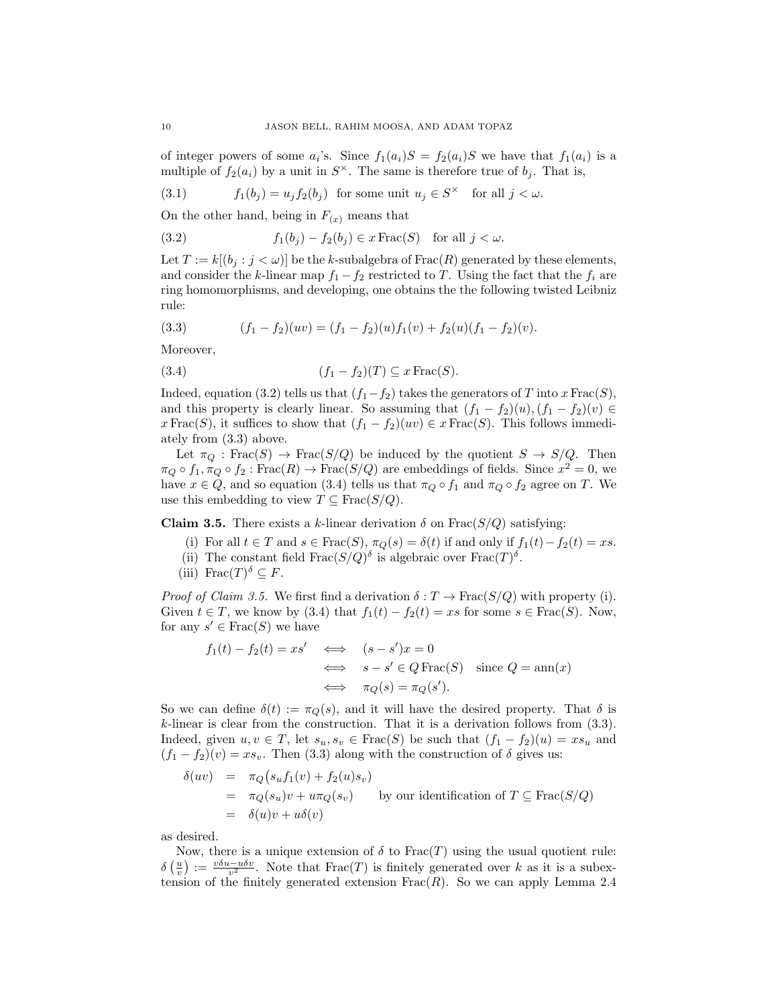of integer powers of some  $a_i$ 's. Since  $f_1(a_i)S = f_2(a_i)S$  we have that  $f_1(a_i)$  is a multiple of  $f_2(a_i)$  by a unit in  $S^{\times}$ . The same is therefore true of  $b_j$ . That is,

(3.1) 
$$
f_1(b_j) = u_j f_2(b_j) \text{ for some unit } u_j \in S^{\times} \text{ for all } j < \omega.
$$

On the other hand, being in  $F(x)$  means that

(3.2) 
$$
f_1(b_j) - f_2(b_j) \in x \operatorname{Frac}(S) \quad \text{for all } j < \omega.
$$

Let  $T := k[(b_i : j < \omega)]$  be the k-subalgebra of Frac $(R)$  generated by these elements, and consider the k-linear map  $f_1 - f_2$  restricted to T. Using the fact that the  $f_i$  are ring homomorphisms, and developing, one obtains the the following twisted Leibniz rule:

(3.3) 
$$
(f_1 - f_2)(uv) = (f_1 - f_2)(u)f_1(v) + f_2(u)(f_1 - f_2)(v).
$$

Moreover,

(3.4) 
$$
(f_1 - f_2)(T) \subseteq x \operatorname{Frac}(S).
$$

Indeed, equation (3.2) tells us that  $(f_1-f_2)$  takes the generators of T into x Frac(S), and this property is clearly linear. So assuming that  $(f_1 - f_2)(u)$ ,  $(f_1 - f_2)(v) \in$ x Frac(S), it suffices to show that  $(f_1 - f_2)(uv) \in x$  Frac(S). This follows immediately from (3.3) above.

Let  $\pi_Q : \text{Frac}(S) \to \text{Frac}(S/Q)$  be induced by the quotient  $S \to S/Q$ . Then  $\pi_Q \circ f_1, \pi_Q \circ f_2 : \text{Frac}(R) \to \text{Frac}(S/Q)$  are embeddings of fields. Since  $x^2 = 0$ , we have  $x \in Q$ , and so equation (3.4) tells us that  $\pi_Q \circ f_1$  and  $\pi_Q \circ f_2$  agree on T. We use this embedding to view  $T \subseteq Frac(S/Q)$ .

Claim 3.5. There exists a k-linear derivation  $\delta$  on Frac( $S/Q$ ) satisfying:

- (i) For all  $t \in T$  and  $s \in Frac(S), \pi_Q(s) = \delta(t)$  if and only if  $f_1(t) f_2(t) = xs$ .
- (ii) The constant field  $\text{Frac}(S/Q)$ <sup> $\delta$ </sup> is algebraic over  $\text{Frac}(T)^{\delta}$ .
- (iii) Frac $(T)^{\delta} \subseteq F$ .

*Proof of Claim 3.5.* We first find a derivation  $\delta : T \to \text{Frac}(S/Q)$  with property (i). Given  $t \in T$ , we know by (3.4) that  $f_1(t) - f_2(t) = xs$  for some  $s \in Frac(S)$ . Now, for any  $s' \in Frac(S)$  we have

$$
f_1(t) - f_2(t) = xs' \iff (s - s')x = 0
$$
  

$$
\iff s - s' \in Q \operatorname{Frac}(S) \text{ since } Q = \operatorname{ann}(x)
$$
  

$$
\iff \pi_Q(s) = \pi_Q(s').
$$

So we can define  $\delta(t) := \pi_Q(s)$ , and it will have the desired property. That  $\delta$  is k-linear is clear from the construction. That it is a derivation follows from (3.3). Indeed, given  $u, v \in T$ , let  $s_u, s_v \in Frac(S)$  be such that  $(f_1 - f_2)(u) = xs_u$  and  $(f_1 - f_2)(v) = xs_v$ . Then (3.3) along with the construction of  $\delta$  gives us:

$$
\delta(uv) = \pi_Q(s_u f_1(v) + f_2(u)s_v)
$$
  
=  $\pi_Q(s_u)v + u\pi_Q(s_v)$  by our identification of  $T \subseteq \text{Frac}(S/Q)$   
=  $\delta(u)v + u\delta(v)$ 

as desired.

Now, there is a unique extension of  $\delta$  to Frac(T) using the usual quotient rule:  $\delta\left(\frac{u}{v}\right) := \frac{v\delta u - u\delta v}{v^2}$ . Note that  $\text{Frac}(T)$  is finitely generated over k as it is a subextension of the finitely generated extension  $Frac(R)$ . So we can apply Lemma 2.4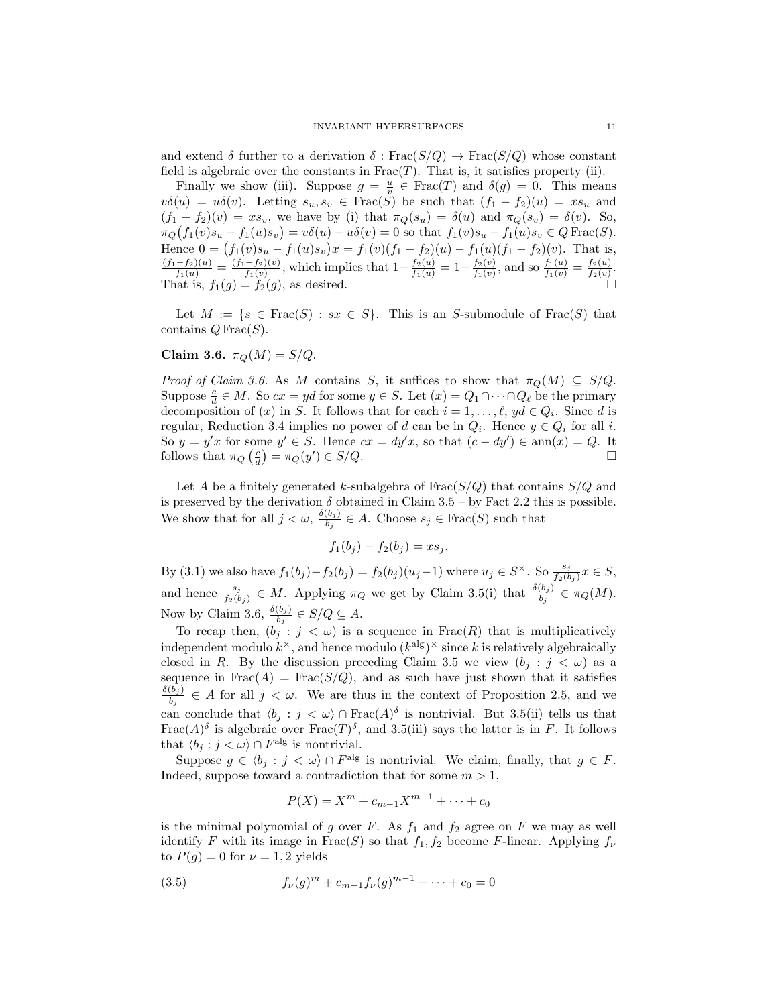and extend  $\delta$  further to a derivation  $\delta$ : Frac $(S/Q) \to \text{Frac}(S/Q)$  whose constant field is algebraic over the constants in  $Frac(T)$ . That is, it satisfies property (ii).

Finally we show (iii). Suppose  $g = \frac{u}{v} \in Frac(T)$  and  $\delta(g) = 0$ . This means  $v\delta(u) = u\delta(v)$ . Letting  $s_u, s_v \in \text{Frac}(\tilde{S})$  be such that  $(f_1 - f_2)(u) = xs_u$  and  $(f_1 - f_2)(v) = xs_v$ , we have by (i) that  $\pi_Q(s_u) = \delta(u)$  and  $\pi_Q(s_v) = \delta(v)$ . So,  $\pi_Q(f_1(v)s_u - f_1(u)s_v) = v\delta(u) - u\delta(v) = 0$  so that  $f_1(v)s_u - f_1(u)s_v \in Q$  Frac $(S)$ . Hence  $0 = (f_1(v)s_u - f_1(u)s_v)x = f_1(v)(f_1 - f_2)(u) - f_1(u)(f_1 - f_2)(v)$ . That is,  $\frac{(f_1-f_2)(u)}{f_1(u)} = \frac{(f_1-f_2)(v)}{f_1(v)}$  $\frac{-f_2(v)}{f_1(v)}$ , which implies that  $1 - \frac{f_2(u)}{f_1(u)} = 1 - \frac{f_2(v)}{f_1(v)}$  $\frac{f_2(v)}{f_1(v)}$ , and so  $\frac{f_1(u)}{f_1(v)} = \frac{f_2(u)}{f_2(v)}$  $\frac{f_2(u)}{f_2(v)}$ . That is,  $f_1(g) = f_2(g)$ , as desired.

Let  $M := \{s \in Frac(S) : sx \in S\}$ . This is an S-submodule of  $Frac(S)$  that contains  $Q$  Frac $(S)$ .

Claim 3.6.  $\pi_Q(M) = S/Q$ .

Proof of Claim 3.6. As M contains S, it suffices to show that  $\pi_Q(M) \subseteq S/Q$ . Suppose  $\frac{c}{d} \in M$ . So  $cx = yd$  for some  $y \in S$ . Let  $(x) = Q_1 \cap \cdots \cap Q_\ell$  be the primary decomposition of  $(x)$  in S. It follows that for each  $i = 1, \ldots, \ell, yd \in Q_i$ . Since d is regular, Reduction 3.4 implies no power of d can be in  $Q_i$ . Hence  $y \in Q_i$  for all i. So  $y = y'x$  for some  $y' \in S$ . Hence  $cx = dy'x$ , so that  $(c - dy') \in \text{ann}(x) = Q$ . It follows that  $\pi_Q\left(\frac{c}{d}\right) = \pi_Q(y') \in S/Q.$ 

Let A be a finitely generated k-subalgebra of  $Frac(S/Q)$  that contains  $S/Q$  and is preserved by the derivation  $\delta$  obtained in Claim 3.5 – by Fact 2.2 this is possible. We show that for all  $j < \omega$ ,  $\frac{\delta(b_j)}{b_j}$  $\frac{\lfloor b_j \rfloor}{b_j} \in A$ . Choose  $s_j \in \text{Frac}(S)$  such that

$$
f_1(b_j) - f_2(b_j) = xs_j.
$$

By (3.1) we also have  $f_1(b_j) - f_2(b_j) = f_2(b_j)(u_j-1)$  where  $u_j \in S^{\times}$ . So  $\frac{s_j}{f_2(b_j)} x \in S$ , and hence  $\frac{s_j}{f_2(b_j)} \in M$ . Applying  $\pi_Q$  we get by Claim 3.5(i) that  $\frac{\delta(b_j)}{b_j} \in \pi_Q(M)$ . Now by Claim 3.6,  $\frac{\delta(b_j)}{b_j} \in S/Q \subseteq A$ .

To recap then,  $(b_j : j < \omega)$  is a sequence in Frac(R) that is multiplicatively independent modulo  $k^{\times}$ , and hence modulo  $(k^{\text{alg}})^{\times}$  since k is relatively algebraically closed in R. By the discussion preceding Claim 3.5 we view  $(b_j : j < \omega)$  as a sequence in  $Frac(A) = Frac(S/Q)$ , and as such have just shown that it satisfies  $\delta(b_j)$  $\frac{\partial^{\sigma}(\delta_j)}{\partial^{\sigma}(\delta_j)} \in A$  for all  $j < \omega$ . We are thus in the context of Proposition 2.5, and we can conclude that  $\langle b_j : j < \omega \rangle \cap \text{Frac}(A)$ <sup>s</sup> is nontrivial. But 3.5(ii) tells us that Frac $(A)$ <sup> $\delta$ </sup> is algebraic over Frac $(T)$ <sup> $\delta$ </sup>, and 3.5(iii) says the latter is in F. It follows that  $\langle b_j : j < \omega \rangle \cap F^{\text{alg}}$  is nontrivial.

Suppose  $g \in \langle b_j : j < \omega \rangle \cap F^{\text{alg}}$  is nontrivial. We claim, finally, that  $g \in F$ . Indeed, suppose toward a contradiction that for some  $m > 1$ ,

$$
P(X) = X^m + c_{m-1}X^{m-1} + \dots + c_0
$$

is the minimal polynomial of g over  $F$ . As  $f_1$  and  $f_2$  agree on  $F$  we may as well identify F with its image in Frac(S) so that  $f_1, f_2$  become F-linear. Applying  $f_{\nu}$ to  $P(g) = 0$  for  $\nu = 1, 2$  yields

(3.5) 
$$
f_{\nu}(g)^{m} + c_{m-1} f_{\nu}(g)^{m-1} + \cdots + c_{0} = 0
$$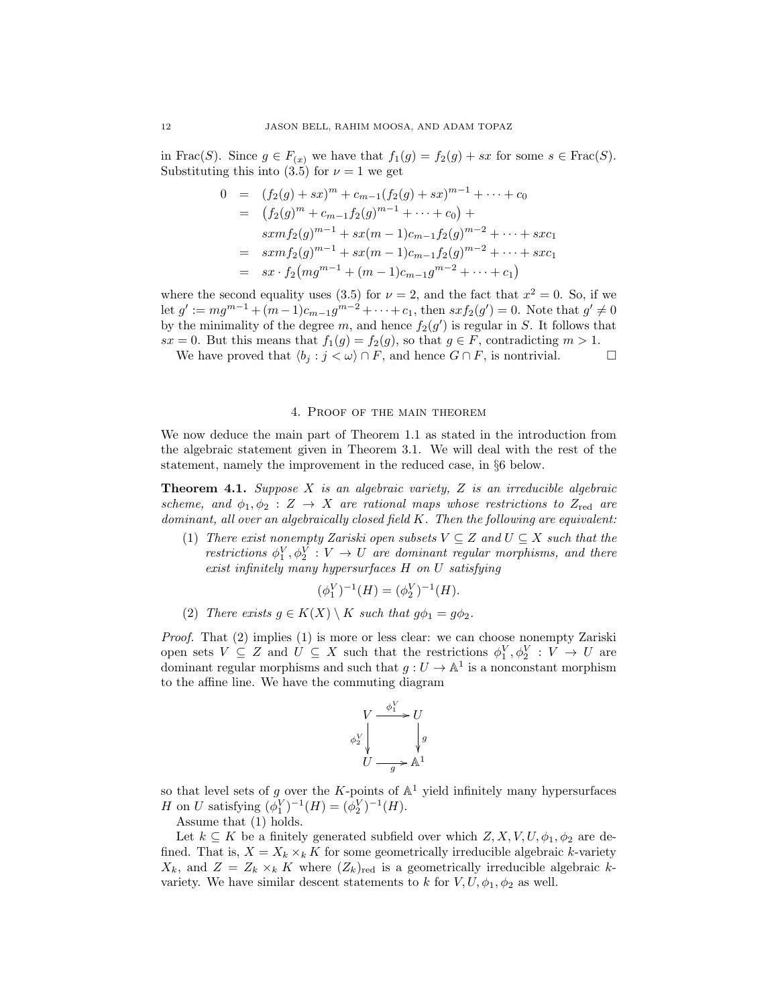in Frac(S). Since  $g \in F_{(x)}$  we have that  $f_1(g) = f_2(g) + sx$  for some  $s \in Frac(S)$ . Substituting this into (3.5) for  $\nu = 1$  we get

$$
0 = (f_2(g) + sx)^m + c_{m-1}(f_2(g) + sx)^{m-1} + \dots + c_0
$$
  
\n
$$
= (f_2(g)^m + c_{m-1}f_2(g)^{m-1} + \dots + c_0) +
$$
  
\n
$$
sxm f_2(g)^{m-1} + sx(m-1)c_{m-1}f_2(g)^{m-2} + \dots + sx c_1
$$
  
\n
$$
= sxm f_2(g)^{m-1} + sx(m-1)c_{m-1}f_2(g)^{m-2} + \dots + sx c_1
$$
  
\n
$$
= sx \cdot f_2(mg^{m-1} + (m-1)c_{m-1}g^{m-2} + \dots + c_1)
$$

where the second equality uses (3.5) for  $\nu = 2$ , and the fact that  $x^2 = 0$ . So, if we let  $g' := mg^{m-1} + (m-1)c_{m-1}g^{m-2} + \cdots + c_1$ , then  $sxf_2(g') = 0$ . Note that  $g' \neq 0$ by the minimality of the degree m, and hence  $f_2(g')$  is regular in S. It follows that  $sx = 0$ . But this means that  $f_1(g) = f_2(g)$ , so that  $g \in F$ , contradicting  $m > 1$ .

We have proved that  $\langle b_j : j \langle \omega \rangle \cap F$ , and hence  $G \cap F$ , is nontrivial.

# 4. Proof of the main theorem

We now deduce the main part of Theorem 1.1 as stated in the introduction from the algebraic statement given in Theorem 3.1. We will deal with the rest of the statement, namely the improvement in the reduced case, in §6 below.

**Theorem 4.1.** Suppose  $X$  is an algebraic variety,  $Z$  is an irreducible algebraic scheme, and  $\phi_1, \phi_2 : Z \to X$  are rational maps whose restrictions to  $Z_{\text{red}}$  are dominant, all over an algebraically closed field  $K$ . Then the following are equivalent:

(1) There exist nonempty Zariski open subsets  $V \subseteq Z$  and  $U \subseteq X$  such that the restrictions  $\phi_1^V, \phi_2^V : V \to U$  are dominant regular morphisms, and there exist infinitely many hypersurfaces H on U satisfying

$$
(\phi_1^V)^{-1}(H) = (\phi_2^V)^{-1}(H).
$$

(2) There exists  $g \in K(X) \setminus K$  such that  $g\phi_1 = g\phi_2$ .

Proof. That (2) implies (1) is more or less clear: we can choose nonempty Zariski open sets  $V \subseteq Z$  and  $U \subseteq X$  such that the restrictions  $\phi_1^V, \phi_2^V : V \to U$  are dominant regular morphisms and such that  $g: U \to \mathbb{A}^1$  is a nonconstant morphism to the affine line. We have the commuting diagram

$$
V \xrightarrow{\phi_1^V} U
$$
  
\n
$$
\phi_2^V \downarrow \qquad \qquad \downarrow g
$$
  
\n
$$
U \xrightarrow{g} \mathbb{A}^1
$$

so that level sets of g over the K-points of  $\mathbb{A}^1$  yield infinitely many hypersurfaces *H* on *U* satisfying  $(\phi_1^V)^{-1}(H) = (\phi_2^V)^{-1}(H)$ .

Assume that (1) holds.

Let  $k \subseteq K$  be a finitely generated subfield over which  $Z, X, V, U, \phi_1, \phi_2$  are defined. That is,  $X = X_k \times_k K$  for some geometrically irreducible algebraic k-variety  $X_k$ , and  $Z = Z_k \times_k K$  where  $(Z_k)_{\text{red}}$  is a geometrically irreducible algebraic kvariety. We have similar descent statements to k for  $V, U, \phi_1, \phi_2$  as well.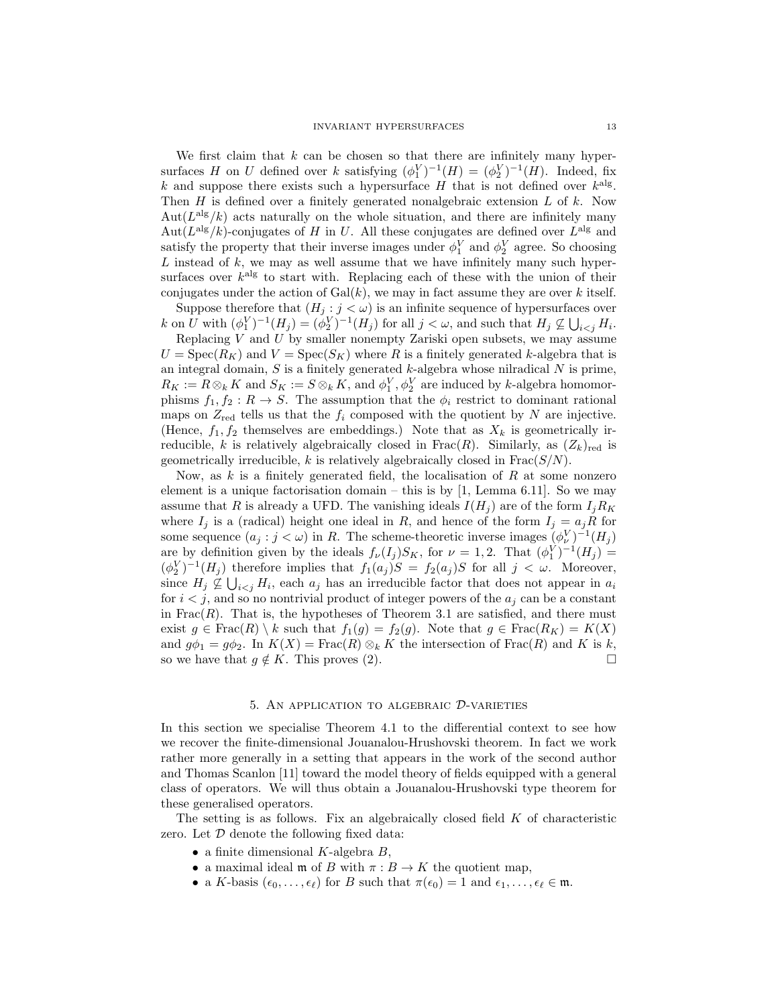We first claim that  $k$  can be chosen so that there are infinitely many hypersurfaces H on U defined over k satisfying  $(\phi_1^V)^{-1}(H) = (\phi_2^V)^{-1}(H)$ . Indeed, fix k and suppose there exists such a hypersurface H that is not defined over  $k^{\text{alg}}$ . Then  $H$  is defined over a finitely generated nonalgebraic extension  $L$  of  $k$ . Now Aut $(L^{alg}/k)$  acts naturally on the whole situation, and there are infinitely many Aut $(L^{alg}/k)$ -conjugates of H in U. All these conjugates are defined over  $L^{alg}$  and satisfy the property that their inverse images under  $\phi_1^V$  and  $\phi_2^V$  agree. So choosing  $L$  instead of  $k$ , we may as well assume that we have infinitely many such hypersurfaces over  $k^{\text{alg}}$  to start with. Replacing each of these with the union of their conjugates under the action of  $Gal(k)$ , we may in fact assume they are over k itself.

Suppose therefore that  $(H_j : j < \omega)$  is an infinite sequence of hypersurfaces over k on U with  $(\phi_1^V)^{-1}(H_j) = (\phi_2^V)^{-1}(H_j)$  for all  $j < \omega$ , and such that  $H_j \nsubseteq \bigcup_{i < j} H_i$ .

Replacing  $V$  and  $U$  by smaller nonempty Zariski open subsets, we may assume  $U = \text{Spec}(R_K)$  and  $V = \text{Spec}(S_K)$  where R is a finitely generated k-algebra that is an integral domain,  $S$  is a finitely generated  $k$ -algebra whose nilradical  $N$  is prime,  $R_K := R \otimes_k K$  and  $S_K := S \otimes_k K$ , and  $\phi_1^V, \phi_2^V$  are induced by k-algebra homomorphisms  $f_1, f_2 : R \to S$ . The assumption that the  $\phi_i$  restrict to dominant rational maps on  $Z_{\text{red}}$  tells us that the  $f_i$  composed with the quotient by N are injective. (Hence,  $f_1, f_2$  themselves are embeddings.) Note that as  $X_k$  is geometrically irreducible, k is relatively algebraically closed in Frac(R). Similarly, as  $(Z_k)_{\text{red}}$  is geometrically irreducible,  $k$  is relatively algebraically closed in  $Frac(S/N)$ .

Now, as  $k$  is a finitely generated field, the localisation of  $R$  at some nonzero element is a unique factorisation domain – this is by  $[1, \text{Lemma } 6.11]$ . So we may assume that R is already a UFD. The vanishing ideals  $I(H_i)$  are of the form  $I_i R_K$ where  $I_j$  is a (radical) height one ideal in R, and hence of the form  $I_j = a_jR$  for some sequence  $(a_j : j < \omega)$  in R. The scheme-theoretic inverse images  $(\phi_{\nu}^V)^{-1}(H_j)$ are by definition given by the ideals  $f_{\nu}(I_j)S_K$ , for  $\nu = 1, 2$ . That  $(\phi_1^V)^{-1}(H_j) =$  $(\phi_2^V)^{-1}(H_j)$  therefore implies that  $f_1(a_j)S = f_2(a_j)S$  for all  $j < \omega$ . Moreover, since  $H_j \nsubseteq \bigcup_{i < j} H_i$ , each  $a_j$  has an irreducible factor that does not appear in  $a_i$ for  $i < j$ , and so no nontrivial product of integer powers of the  $a_j$  can be a constant in  $Frac(R)$ . That is, the hypotheses of Theorem 3.1 are satisfied, and there must exist  $g \in Frac(R) \setminus k$  such that  $f_1(g) = f_2(g)$ . Note that  $g \in Frac(R_K) = K(X)$ and  $g\phi_1 = g\phi_2$ . In  $K(X) = \text{Frac}(R) \otimes_k K$  the intersection of  $\text{Frac}(R)$  and K is k, so we have that  $q \notin K$ . This proves (2).

## 5. An application to algebraic D-varieties

In this section we specialise Theorem 4.1 to the differential context to see how we recover the finite-dimensional Jouanalou-Hrushovski theorem. In fact we work rather more generally in a setting that appears in the work of the second author and Thomas Scanlon [11] toward the model theory of fields equipped with a general class of operators. We will thus obtain a Jouanalou-Hrushovski type theorem for these generalised operators.

The setting is as follows. Fix an algebraically closed field  $K$  of characteristic zero. Let  $\mathcal D$  denote the following fixed data:

- a finite dimensional  $K$ -algebra  $B$ ,
- a maximal ideal **m** of B with  $\pi : B \to K$  the quotient map,
- a K-basis  $(\epsilon_0, \ldots, \epsilon_\ell)$  for B such that  $\pi(\epsilon_0) = 1$  and  $\epsilon_1, \ldots, \epsilon_\ell \in \mathfrak{m}$ .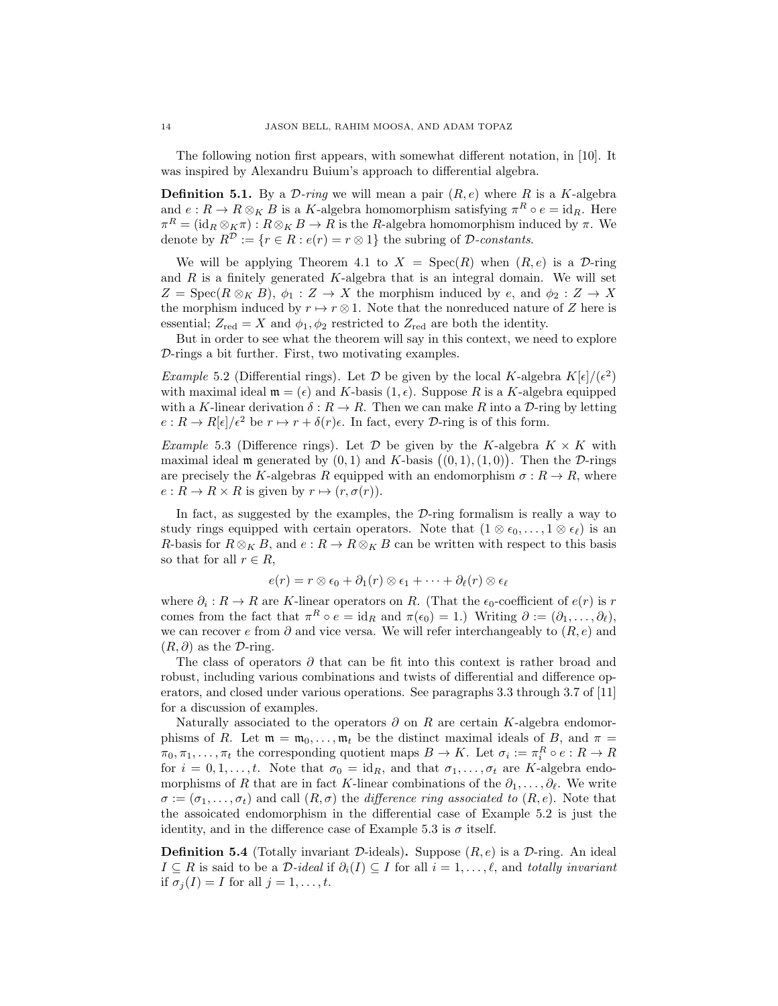The following notion first appears, with somewhat different notation, in [10]. It was inspired by Alexandru Buium's approach to differential algebra.

**Definition 5.1.** By a  $\mathcal{D}\text{-ring}$  we will mean a pair  $(R, e)$  where R is a K-algebra and  $e: R \to R \otimes_K B$  is a K-algebra homomorphism satisfying  $\pi^R \circ e = id_R$ . Here  $\pi^R = (\mathrm{id}_R \otimes_K \pi) : R \otimes_K B \to R$  is the R-algebra homomorphism induced by  $\pi$ . We denote by  $R^{\mathcal{D}} := \{r \in R : e(r) = r \otimes 1\}$  the subring of  $\mathcal{D}$ -constants.

We will be applying Theorem 4.1 to  $X = \text{Spec}(R)$  when  $(R, e)$  is a D-ring and  $R$  is a finitely generated  $K$ -algebra that is an integral domain. We will set  $Z = \operatorname{Spec}(R \otimes_K B), \phi_1 : Z \to X$  the morphism induced by e, and  $\phi_2 : Z \to X$ the morphism induced by  $r \mapsto r \otimes 1$ . Note that the nonreduced nature of Z here is essential;  $Z_{\text{red}} = X$  and  $\phi_1, \phi_2$  restricted to  $Z_{\text{red}}$  are both the identity.

But in order to see what the theorem will say in this context, we need to explore D-rings a bit further. First, two motivating examples.

*Example* 5.2 (Differential rings). Let  $\mathcal D$  be given by the local K-algebra  $K[\epsilon]/(\epsilon^2)$ with maximal ideal  $\mathfrak{m} = (\epsilon)$  and K-basis  $(1, \epsilon)$ . Suppose R is a K-algebra equipped with a K-linear derivation  $\delta : R \to R$ . Then we can make R into a D-ring by letting  $e: R \to R[\epsilon]/\epsilon^2$  be  $r \mapsto r + \delta(r)\epsilon$ . In fact, every D-ring is of this form.

Example 5.3 (Difference rings). Let  $\mathcal D$  be given by the K-algebra  $K \times K$  with maximal ideal  $\mathfrak m$  generated by  $(0,1)$  and K-basis  $((0,1),(1,0))$ . Then the D-rings are precisely the K-algebras R equipped with an endomorphism  $\sigma : R \to R$ , where  $e: R \to R \times R$  is given by  $r \mapsto (r, \sigma(r))$ .

In fact, as suggested by the examples, the  $\mathcal{D}\text{-ring}$  formalism is really a way to study rings equipped with certain operators. Note that  $(1 \otimes \epsilon_0, \ldots, 1 \otimes \epsilon_\ell)$  is an R-basis for  $R \otimes_K B$ , and  $e : R \to R \otimes_K B$  can be written with respect to this basis so that for all  $r \in R$ ,

$$
e(r) = r \otimes \epsilon_0 + \partial_1(r) \otimes \epsilon_1 + \cdots + \partial_{\ell}(r) \otimes \epsilon_{\ell}
$$

where  $\partial_i: R \to R$  are K-linear operators on R. (That the  $\epsilon_0$ -coefficient of  $e(r)$  is r comes from the fact that  $\pi^R \circ e = \text{id}_R$  and  $\pi(\epsilon_0) = 1$ .) Writing  $\partial := (\partial_1, \dots, \partial_\ell)$ , we can recover e from  $\partial$  and vice versa. We will refer interchangeably to  $(R, e)$  and  $(R, \partial)$  as the D-ring.

The class of operators  $\partial$  that can be fit into this context is rather broad and robust, including various combinations and twists of differential and difference operators, and closed under various operations. See paragraphs 3.3 through 3.7 of [11] for a discussion of examples.

Naturally associated to the operators  $\partial$  on R are certain K-algebra endomorphisms of R. Let  $\mathfrak{m} = \mathfrak{m}_0, \ldots, \mathfrak{m}_t$  be the distinct maximal ideals of B, and  $\pi =$  $\pi_0, \pi_1, \ldots, \pi_t$  the corresponding quotient maps  $B \to K$ . Let  $\sigma_i := \pi_i^R \circ e : R \to R$ for  $i = 0, 1, \ldots, t$ . Note that  $\sigma_0 = id_R$ , and that  $\sigma_1, \ldots, \sigma_t$  are K-algebra endomorphisms of R that are in fact K-linear combinations of the  $\partial_1, \ldots, \partial_\ell$ . We write  $\sigma := (\sigma_1, \ldots, \sigma_t)$  and call  $(R, \sigma)$  the difference ring associated to  $(R, e)$ . Note that the assoicated endomorphism in the differential case of Example 5.2 is just the identity, and in the difference case of Example 5.3 is  $\sigma$  itself.

**Definition 5.4** (Totally invariant D-ideals). Suppose  $(R, e)$  is a D-ring. An ideal  $I \subseteq R$  is said to be a D-ideal if  $\partial_i(I) \subseteq I$  for all  $i = 1, \ldots, \ell$ , and totally invariant if  $\sigma_i(I) = I$  for all  $j = 1, \ldots, t$ .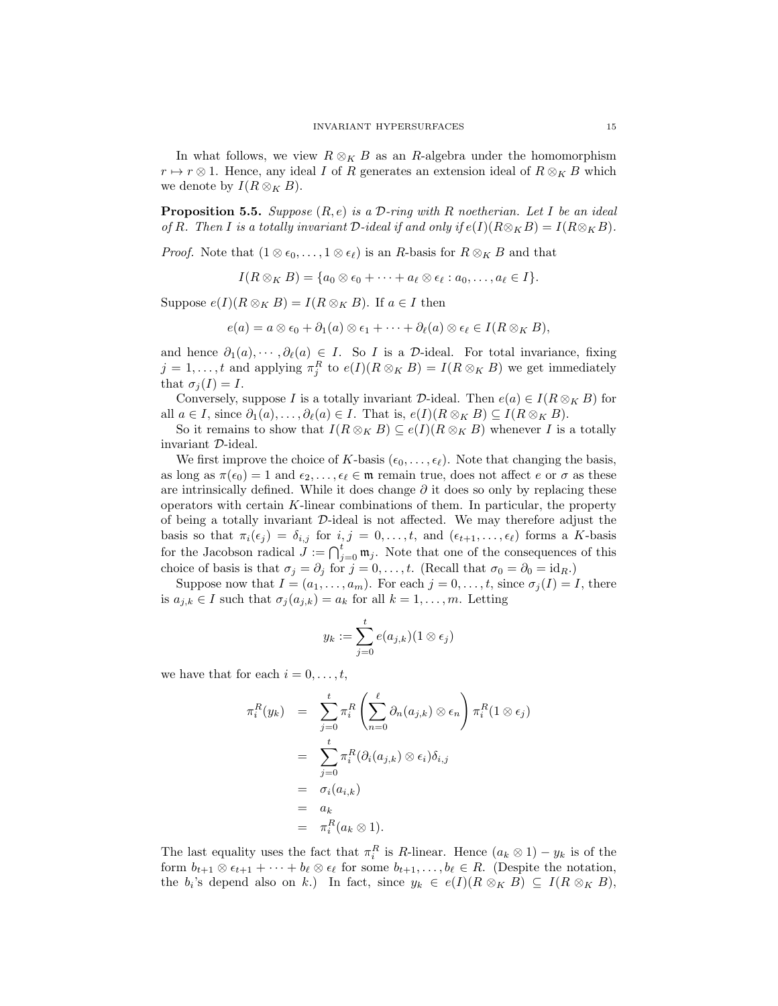In what follows, we view  $R \otimes_K B$  as an R-algebra under the homomorphism  $r \mapsto r \otimes 1$ . Hence, any ideal I of R generates an extension ideal of  $R \otimes_K B$  which we denote by  $I(R \otimes_K B)$ .

**Proposition 5.5.** Suppose  $(R, e)$  is a D-ring with R noetherian. Let I be an ideal of R. Then I is a totally invariant D-ideal if and only if  $e(I)(R \otimes_K B) = I(R \otimes_K B)$ .

*Proof.* Note that  $(1 \otimes \epsilon_0, \ldots, 1 \otimes \epsilon_\ell)$  is an R-basis for  $R \otimes_K B$  and that

 $I(R \otimes_K B) = \{a_0 \otimes \epsilon_0 + \cdots + a_\ell \otimes \epsilon_\ell : a_0, \ldots, a_\ell \in I\}.$ 

Suppose  $e(I)(R \otimes_K B) = I(R \otimes_K B)$ . If  $a \in I$  then

 $e(a) = a \otimes \epsilon_0 + \partial_1(a) \otimes \epsilon_1 + \cdots + \partial_\ell(a) \otimes \epsilon_\ell \in I(R \otimes_K B),$ 

and hence  $\partial_1(a), \cdots, \partial_\ell(a) \in I$ . So I is a D-ideal. For total invariance, fixing  $j = 1, \ldots, t$  and applying  $\pi_j^R$  to  $e(I)(R \otimes_K B) = I(R \otimes_K B)$  we get immediately that  $\sigma_j(I) = I$ .

Conversely, suppose I is a totally invariant D-ideal. Then  $e(a) \in I(R \otimes_K B)$  for all  $a \in I$ , since  $\partial_1(a), \ldots, \partial_\ell(a) \in I$ . That is,  $e(I)(R \otimes_K B) \subseteq I(R \otimes_K B)$ .

So it remains to show that  $I(R \otimes_K B) \subseteq e(I)(R \otimes_K B)$  whenever I is a totally invariant D-ideal.

We first improve the choice of K-basis  $(\epsilon_0, \ldots, \epsilon_\ell)$ . Note that changing the basis, as long as  $\pi(\epsilon_0) = 1$  and  $\epsilon_2, \ldots, \epsilon_\ell \in \mathfrak{m}$  remain true, does not affect e or  $\sigma$  as these are intrinsically defined. While it does change  $\partial$  it does so only by replacing these operators with certain  $K$ -linear combinations of them. In particular, the property of being a totally invariant  $\mathcal{D}$ -ideal is not affected. We may therefore adjust the basis so that  $\pi_i(\epsilon_j) = \delta_{i,j}$  for  $i, j = 0, \ldots, t$ , and  $(\epsilon_{t+1}, \ldots, \epsilon_\ell)$  forms a K-basis for the Jacobson radical  $J := \bigcap_{j=0}^t \mathfrak{m}_j$ . Note that one of the consequences of this choice of basis is that  $\sigma_j = \partial_j$  for  $j = 0, \ldots, t$ . (Recall that  $\sigma_0 = \partial_0 = id_R$ .)

Suppose now that  $I = (a_1, \ldots, a_m)$ . For each  $j = 0, \ldots, t$ , since  $\sigma_j(I) = I$ , there is  $a_{j,k} \in I$  such that  $\sigma_j(a_{j,k}) = a_k$  for all  $k = 1, \ldots, m$ . Letting

$$
y_k := \sum_{j=0}^t e(a_{j,k})(1 \otimes \epsilon_j)
$$

we have that for each  $i = 0, \ldots, t$ ,

$$
\pi_i^R(y_k) = \sum_{j=0}^t \pi_i^R \left( \sum_{n=0}^\ell \partial_n(a_{j,k}) \otimes \epsilon_n \right) \pi_i^R(1 \otimes \epsilon_j)
$$
  
\n
$$
= \sum_{j=0}^t \pi_i^R(\partial_i(a_{j,k}) \otimes \epsilon_i) \delta_{i,j}
$$
  
\n
$$
= \sigma_i(a_{i,k})
$$
  
\n
$$
= a_k
$$
  
\n
$$
= \pi_i^R(a_k \otimes 1).
$$

The last equality uses the fact that  $\pi_i^R$  is R-linear. Hence  $(a_k \otimes 1) - y_k$  is of the form  $b_{t+1} \otimes \epsilon_{t+1} + \cdots + b_{\ell} \otimes \epsilon_{\ell}$  for some  $b_{t+1}, \ldots, b_{\ell} \in R$ . (Despite the notation, the  $b_i$ 's depend also on k.) In fact, since  $y_k \in e(I)(R \otimes_K B) \subseteq I(R \otimes_K B)$ ,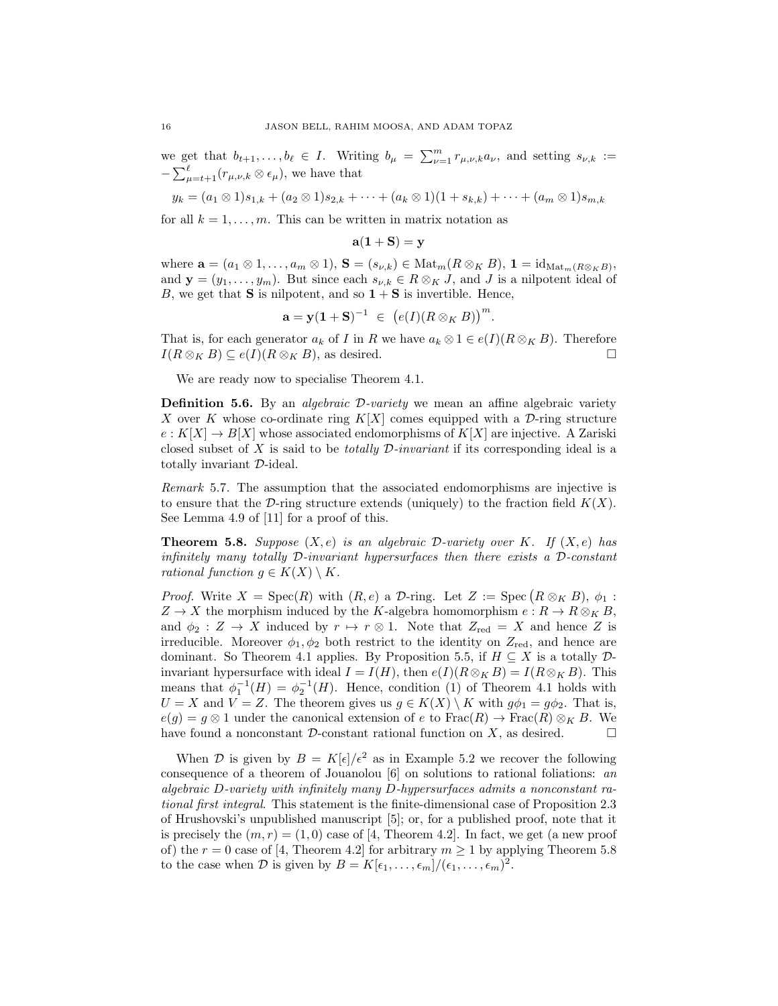we get that  $b_{t+1}, \ldots, b_{\ell} \in I$ . Writing  $b_{\mu} = \sum_{\nu=1}^{m} r_{\mu,\nu,k} a_{\nu}$ , and setting  $s_{\nu,k} :=$  $-\sum_{\mu=t+1}^{\ell} (r_{\mu,\nu,k}\otimes \epsilon_{\mu}),$  we have that

$$
y_k = (a_1 \otimes 1)s_{1,k} + (a_2 \otimes 1)s_{2,k} + \cdots + (a_k \otimes 1)(1 + s_{k,k}) + \cdots + (a_m \otimes 1)s_{m,k}
$$

for all  $k = 1, \ldots, m$ . This can be written in matrix notation as

$$
\mathbf{a}(1+\mathbf{S})=\mathbf{y}
$$

where  $\mathbf{a} = (a_1 \otimes 1, \dots, a_m \otimes 1), \mathbf{S} = (s_{\nu,k}) \in \text{Mat}_m(R \otimes_K B), \mathbf{1} = \text{id}_{\text{Mat}_m(R \otimes_K B)},$ and  $\mathbf{y} = (y_1, \ldots, y_m)$ . But since each  $s_{\nu,k} \in R \otimes_K J$ , and J is a nilpotent ideal of B, we get that **S** is nilpotent, and so  $1 + S$  is invertible. Hence,

$$
\mathbf{a} = \mathbf{y}(\mathbf{1} + \mathbf{S})^{-1} \ \in \ \big(e(I)(R \otimes_K B)\big)^m.
$$

That is, for each generator  $a_k$  of I in R we have  $a_k \otimes 1 \in e(I)(R \otimes_K B)$ . Therefore  $I(R \otimes_K B) \subseteq e(I)(R \otimes_K B)$ , as desired.

We are ready now to specialise Theorem 4.1.

**Definition 5.6.** By an *algebraic*  $\mathcal{D}$ -variety we mean an affine algebraic variety X over K whose co-ordinate ring  $K[X]$  comes equipped with a D-ring structure  $e: K[X] \to B[X]$  whose associated endomorphisms of  $K[X]$  are injective. A Zariski closed subset of X is said to be *totally D-invariant* if its corresponding ideal is a totally invariant D-ideal.

Remark 5.7. The assumption that the associated endomorphisms are injective is to ensure that the D-ring structure extends (uniquely) to the fraction field  $K(X)$ . See Lemma 4.9 of [11] for a proof of this.

**Theorem 5.8.** Suppose  $(X, e)$  is an algebraic D-variety over K. If  $(X, e)$  has infinitely many totally  $\mathcal D$ -invariant hypersurfaces then there exists a  $\mathcal D$ -constant rational function  $g \in K(X) \setminus K$ .

*Proof.* Write  $X = \text{Spec}(R)$  with  $(R, e)$  a D-ring. Let  $Z := \text{Spec}(R \otimes_K B), \phi_1$ :  $Z \to X$  the morphism induced by the K-algebra homomorphism  $e: R \to R \otimes_K B$ , and  $\phi_2 : Z \to X$  induced by  $r \mapsto r \otimes 1$ . Note that  $Z_{\text{red}} = X$  and hence Z is irreducible. Moreover  $\phi_1, \phi_2$  both restrict to the identity on  $Z_{\text{red}}$ , and hence are dominant. So Theorem 4.1 applies. By Proposition 5.5, if  $H \subseteq X$  is a totally  $\mathcal{D}$ invariant hypersurface with ideal  $I = I(H)$ , then  $e(I)(R \otimes_K B) = I(R \otimes_K B)$ . This means that  $\phi_1^{-1}(H) = \phi_2^{-1}(H)$ . Hence, condition (1) of Theorem 4.1 holds with  $U = X$  and  $V = Z$ . The theorem gives us  $g \in K(X) \setminus K$  with  $g\phi_1 = g\phi_2$ . That is,  $e(g) = g \otimes 1$  under the canonical extension of e to  $\text{Frac}(R) \to \text{Frac}(R) \otimes_K B$ . We have found a nonconstant  $\mathcal D$ -constant rational function on X, as desired.

When D is given by  $B = K[\epsilon]/\epsilon^2$  as in Example 5.2 we recover the following consequence of a theorem of Jouanolou [6] on solutions to rational foliations: an algebraic D-variety with infinitely many D-hypersurfaces admits a nonconstant rational first integral. This statement is the finite-dimensional case of Proposition 2.3 of Hrushovski's unpublished manuscript [5]; or, for a published proof, note that it is precisely the  $(m, r) = (1, 0)$  case of [4, Theorem 4.2]. In fact, we get (a new proof of) the  $r = 0$  case of [4, Theorem 4.2] for arbitrary  $m \ge 1$  by applying Theorem 5.8 to the case when D is given by  $B = K[\epsilon_1, \ldots, \epsilon_m]/(\epsilon_1, \ldots, \epsilon_m)^2$ .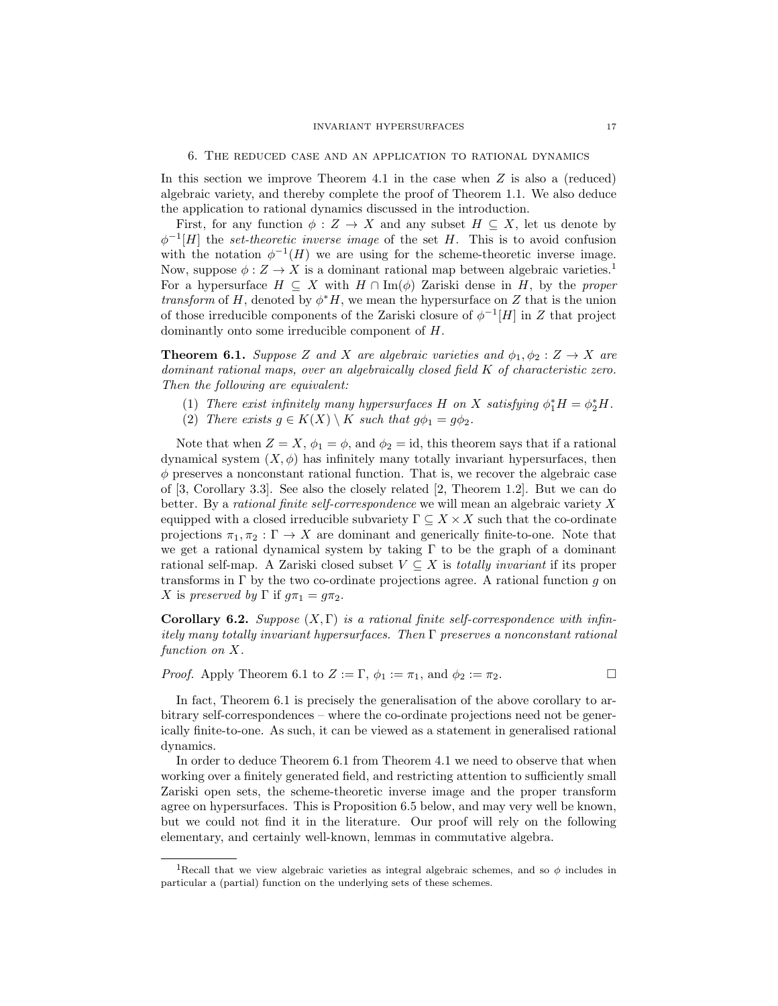In this section we improve Theorem 4.1 in the case when  $Z$  is also a (reduced) algebraic variety, and thereby complete the proof of Theorem 1.1. We also deduce the application to rational dynamics discussed in the introduction.

First, for any function  $\phi : Z \to X$  and any subset  $H \subseteq X$ , let us denote by  $\phi^{-1}[H]$  the set-theoretic inverse image of the set H. This is to avoid confusion with the notation  $\phi^{-1}(H)$  we are using for the scheme-theoretic inverse image. Now, suppose  $\phi: Z \to X$  is a dominant rational map between algebraic varieties.<sup>1</sup> For a hypersurface  $H \subseteq X$  with  $H \cap \text{Im}(\phi)$  Zariski dense in H, by the proper transform of H, denoted by  $\phi^* H$ , we mean the hypersurface on Z that is the union of those irreducible components of the Zariski closure of  $\phi^{-1}[H]$  in Z that project dominantly onto some irreducible component of H.

**Theorem 6.1.** Suppose Z and X are algebraic varieties and  $\phi_1, \phi_2 : Z \to X$  are dominant rational maps, over an algebraically closed field K of characteristic zero. Then the following are equivalent:

- (1) There exist infinitely many hypersurfaces H on X satisfying  $\phi_1^* H = \phi_2^* H$ .
- (2) There exists  $g \in K(X) \setminus K$  such that  $g\phi_1 = g\phi_2$ .

Note that when  $Z = X$ ,  $\phi_1 = \phi$ , and  $\phi_2 = id$ , this theorem says that if a rational dynamical system  $(X, \phi)$  has infinitely many totally invariant hypersurfaces, then  $\phi$  preserves a nonconstant rational function. That is, we recover the algebraic case of [3, Corollary 3.3]. See also the closely related [2, Theorem 1.2]. But we can do better. By a rational finite self-correspondence we will mean an algebraic variety X equipped with a closed irreducible subvariety  $\Gamma \subseteq X \times X$  such that the co-ordinate projections  $\pi_1, \pi_2 : \Gamma \to X$  are dominant and generically finite-to-one. Note that we get a rational dynamical system by taking Γ to be the graph of a dominant rational self-map. A Zariski closed subset  $V \subseteq X$  is *totally invariant* if its proper transforms in  $\Gamma$  by the two co-ordinate projections agree. A rational function g on X is preserved by  $\Gamma$  if  $q\pi_1 = q\pi_2$ .

**Corollary 6.2.** Suppose  $(X, \Gamma)$  is a rational finite self-correspondence with infinitely many totally invariant hypersurfaces. Then Γ preserves a nonconstant rational function on X.

*Proof.* Apply Theorem 6.1 to  $Z := \Gamma$ ,  $\phi_1 := \pi_1$ , and  $\phi_2 := \pi_2$ .

In fact, Theorem 6.1 is precisely the generalisation of the above corollary to arbitrary self-correspondences – where the co-ordinate projections need not be generically finite-to-one. As such, it can be viewed as a statement in generalised rational dynamics.

In order to deduce Theorem 6.1 from Theorem 4.1 we need to observe that when working over a finitely generated field, and restricting attention to sufficiently small Zariski open sets, the scheme-theoretic inverse image and the proper transform agree on hypersurfaces. This is Proposition 6.5 below, and may very well be known, but we could not find it in the literature. Our proof will rely on the following elementary, and certainly well-known, lemmas in commutative algebra.

<sup>&</sup>lt;sup>1</sup>Recall that we view algebraic varieties as integral algebraic schemes, and so  $\phi$  includes in particular a (partial) function on the underlying sets of these schemes.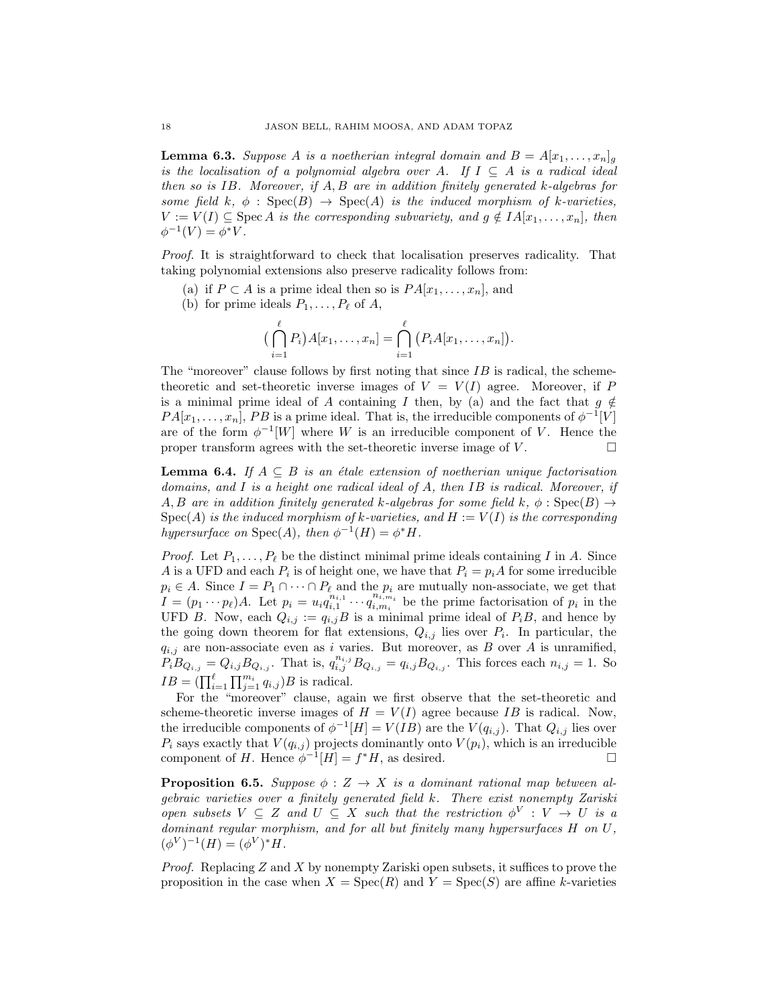**Lemma 6.3.** Suppose A is a noetherian integral domain and  $B = A[x_1, \ldots, x_n]_q$ is the localisation of a polynomial algebra over A. If  $I \subseteq A$  is a radical ideal then so is  $IB$ . Moreover, if  $A, B$  are in addition finitely generated  $k$ -algebras for some field k,  $\phi : \text{Spec}(B) \to \text{Spec}(A)$  is the induced morphism of k-varieties,  $V := V(I) \subseteq \text{Spec } A$  is the corresponding subvariety, and  $g \notin IA[x_1, \ldots, x_n]$ , then  $\phi^{-1}(V) = \phi^* V.$ 

Proof. It is straightforward to check that localisation preserves radicality. That taking polynomial extensions also preserve radicality follows from:

- (a) if  $P \subset A$  is a prime ideal then so is  $PA[x_1, \ldots, x_n]$ , and
- (b) for prime ideals  $P_1, \ldots, P_\ell$  of A,

$$
\left(\bigcap_{i=1}^{\ell} P_i\right) A[x_1,\ldots,x_n] = \bigcap_{i=1}^{\ell} \left(P_i A[x_1,\ldots,x_n]\right).
$$

The "moreover" clause follows by first noting that since  $IB$  is radical, the schemetheoretic and set-theoretic inverse images of  $V = V(I)$  agree. Moreover, if P is a minimal prime ideal of A containing I then, by (a) and the fact that  $g \notin$  $PA[x_1, \ldots, x_n], PB$  is a prime ideal. That is, the irreducible components of  $\phi^{-1}[V]$ are of the form  $\phi^{-1}[W]$  where W is an irreducible component of V. Hence the proper transform agrees with the set-theoretic inverse image of  $V$ .

**Lemma 6.4.** If  $A \subseteq B$  is an étale extension of noetherian unique factorisation domains, and I is a height one radical ideal of A, then IB is radical. Moreover, if A, B are in addition finitely generated k-algebras for some field k,  $\phi : \text{Spec}(B) \to$  $Spec(A)$  is the induced morphism of k-varieties, and  $H := V(I)$  is the corresponding hypersurface on Spec(A), then  $\phi^{-1}(H) = \phi^* H$ .

*Proof.* Let  $P_1, \ldots, P_\ell$  be the distinct minimal prime ideals containing I in A. Since A is a UFD and each  $P_i$  is of height one, we have that  $P_i = p_i A$  for some irreducible  $p_i \in A$ . Since  $I = P_1 \cap \cdots \cap P_\ell$  and the  $p_i$  are mutually non-associate, we get that  $I = (p_1 \cdots p_\ell)A$ . Let  $p_i = u_i \ddot{q}_{i,1}^{n_{i,1}} \cdots \ddot{q}_{i,m_i}^{n_{i,m_i}}$  be the prime factorisation of  $p_i$  in the UFD B. Now, each  $Q_{i,j} := q_{i,j}B$  is a minimal prime ideal of  $P_iB$ , and hence by the going down theorem for flat extensions,  $Q_{i,j}$  lies over  $P_i$ . In particular, the  $q_{i,j}$  are non-associate even as i varies. But moreover, as B over A is unramified,  $P_i B_{Q_{i,j}} = Q_{i,j} B_{Q_{i,j}}$ . That is,  $q_{i,j}^{n_{i,j}} B_{Q_{i,j}} = q_{i,j} B_{Q_{i,j}}$ . This forces each  $n_{i,j} = 1$ . So  $IB = (\prod_{i=1}^{\ell} \prod_{j=1}^{m_i} q_{i,j})B$  is radical.

For the "moreover" clause, again we first observe that the set-theoretic and scheme-theoretic inverse images of  $H = V(I)$  agree because IB is radical. Now, the irreducible components of  $\phi^{-1}[H] = V(IB)$  are the  $V(q_{i,j})$ . That  $Q_{i,j}$  lies over  $P_i$  says exactly that  $V(q_{i,j})$  projects dominantly onto  $V(p_i)$ , which is an irreducible component of H. Hence  $\phi^{-1}[H] = f^*H$ , as desired.

**Proposition 6.5.** Suppose  $\phi : Z \to X$  is a dominant rational map between algebraic varieties over a finitely generated field k. There exist nonempty Zariski open subsets  $V \subseteq Z$  and  $U \subseteq X$  such that the restriction  $\phi^V : V \to U$  is a dominant regular morphism, and for all but finitely many hypersurfaces H on U,  $(\phi^V)^{-1}(H) = (\phi^V)^* H.$ 

*Proof.* Replacing  $Z$  and  $X$  by nonempty Zariski open subsets, it suffices to prove the proposition in the case when  $X = \text{Spec}(R)$  and  $Y = \text{Spec}(S)$  are affine k-varieties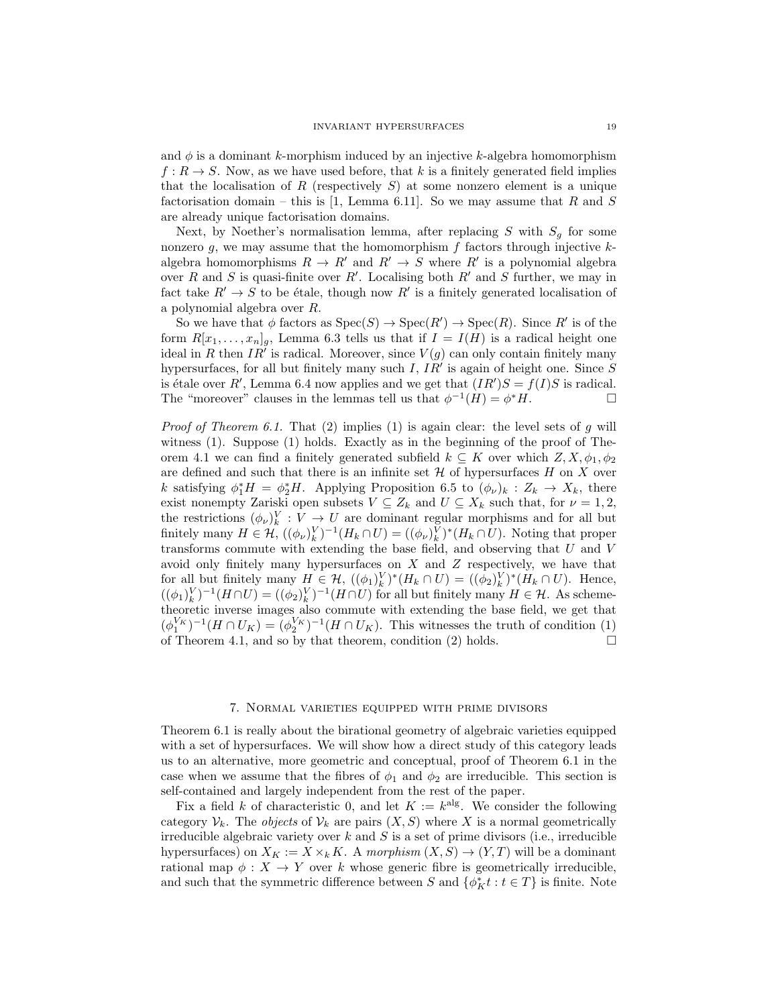and  $\phi$  is a dominant k-morphism induced by an injective k-algebra homomorphism  $f: R \to S$ . Now, as we have used before, that k is a finitely generated field implies that the localisation of R (respectively  $S$ ) at some nonzero element is a unique factorisation domain – this is [1, Lemma 6.11]. So we may assume that R and S are already unique factorisation domains.

Next, by Noether's normalisation lemma, after replacing S with  $S_g$  for some nonzero g, we may assume that the homomorphism  $f$  factors through injective  $k$ algebra homomorphisms  $R \to R'$  and  $R' \to S$  where  $R'$  is a polynomial algebra over R and S is quasi-finite over R'. Localising both R' and S further, we may in fact take  $R' \to S$  to be étale, though now R' is a finitely generated localisation of a polynomial algebra over R.

So we have that  $\phi$  factors as  $Spec(S) \to Spec(R') \to Spec(R)$ . Since R' is of the form  $R[x_1, \ldots, x_n]_g$ , Lemma 6.3 tells us that if  $I = I(H)$  is a radical height one ideal in R then  $IR<sup>i</sup>$  is radical. Moreover, since  $V(g)$  can only contain finitely many hypersurfaces, for all but finitely many such  $I$ ,  $IR'$  is again of height one. Since  $S$ is étale over R', Lemma 6.4 now applies and we get that  $(IR')S = f(I)S$  is radical. The "moreover" clauses in the lemmas tell us that  $\phi^{-1}(H) = \phi^* H$ .

*Proof of Theorem 6.1.* That (2) implies (1) is again clear: the level sets of g will witness (1). Suppose (1) holds. Exactly as in the beginning of the proof of Theorem 4.1 we can find a finitely generated subfield  $k \subseteq K$  over which  $Z, X, \phi_1, \phi_2$ are defined and such that there is an infinite set  $\mathcal H$  of hypersurfaces H on X over k satisfying  $\phi_1^* H = \phi_2^* H$ . Applying Proposition 6.5 to  $(\phi_\nu)_k : Z_k \to X_k$ , there exist nonempty Zariski open subsets  $V \subseteq Z_k$  and  $U \subseteq X_k$  such that, for  $\nu = 1, 2$ , the restrictions  $(\phi_{\nu})_k^V : V \to U$  are dominant regular morphisms and for all but finitely many  $H \in \mathcal{H}, ((\phi_{\nu})_k^V)^{-1}(H_k \cap U) = ((\phi_{\nu})_k^V)^*(H_k \cap U)$ . Noting that proper transforms commute with extending the base field, and observing that  $U$  and  $V$ avoid only finitely many hypersurfaces on  $X$  and  $Z$  respectively, we have that for all but finitely many  $H \in \mathcal{H}$ ,  $((\phi_1)^V_k)^*(H_k \cap U) = ((\phi_2)^V_k)^*(H_k \cap U)$ . Hence,  $((\phi_1)_k^V)^{-1}(H \cap U) = ((\phi_2)_k^V)^{-1}(H \cap U)$  for all but finitely many  $H \in \mathcal{H}$ . As schemetheoretic inverse images also commute with extending the base field, we get that  $(\phi_1^{V_K})^{-1}(H \cap U_K) = (\phi_2^{V_K})^{-1}(H \cap U_K)$ . This witnesses the truth of condition (1) of Theorem 4.1, and so by that theorem, condition (2) holds.  $\square$ 

#### 7. Normal varieties equipped with prime divisors

Theorem 6.1 is really about the birational geometry of algebraic varieties equipped with a set of hypersurfaces. We will show how a direct study of this category leads us to an alternative, more geometric and conceptual, proof of Theorem 6.1 in the case when we assume that the fibres of  $\phi_1$  and  $\phi_2$  are irreducible. This section is self-contained and largely independent from the rest of the paper.

Fix a field k of characteristic 0, and let  $K := k<sup>alg</sup>$ . We consider the following category  $\mathcal{V}_k$ . The *objects* of  $\mathcal{V}_k$  are pairs  $(X, S)$  where X is a normal geometrically irreducible algebraic variety over  $k$  and  $S$  is a set of prime divisors (i.e., irreducible hypersurfaces) on  $X_K := X \times_k K$ . A morphism  $(X, S) \to (Y, T)$  will be a dominant rational map  $\phi: X \to Y$  over k whose generic fibre is geometrically irreducible, and such that the symmetric difference between  $S$  and  $\{\phi_K^* t : t \in T\}$  is finite. Note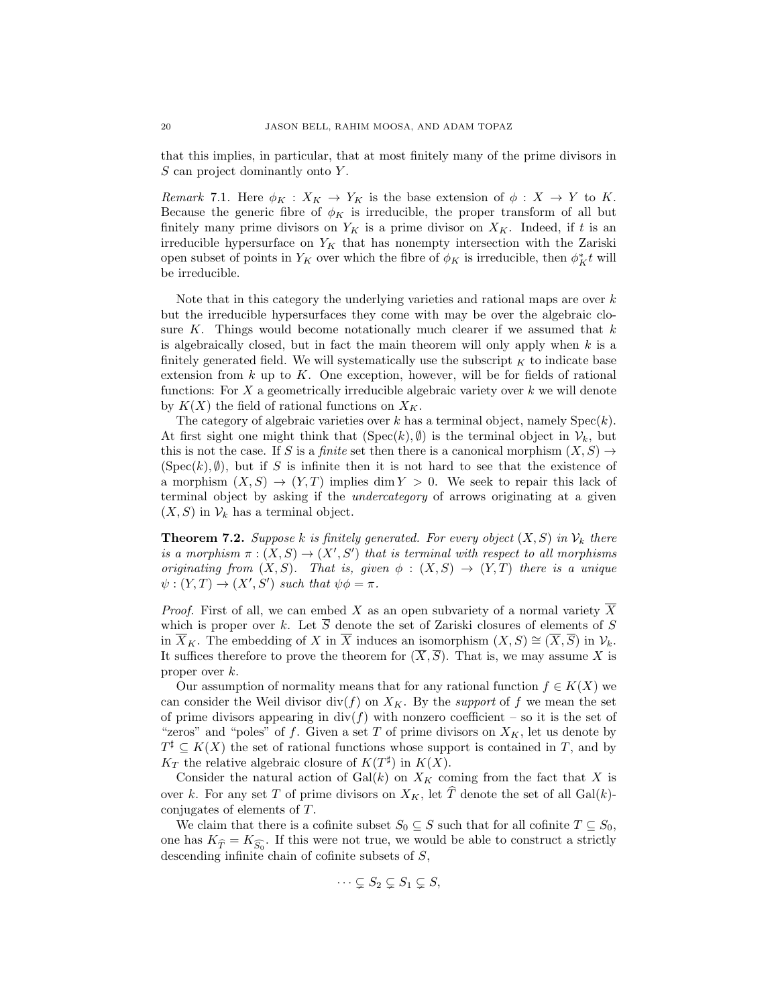that this implies, in particular, that at most finitely many of the prime divisors in  $S$  can project dominantly onto  $Y$ .

Remark 7.1. Here  $\phi_K : X_K \to Y_K$  is the base extension of  $\phi : X \to Y$  to K. Because the generic fibre of  $\phi_K$  is irreducible, the proper transform of all but finitely many prime divisors on  $Y_K$  is a prime divisor on  $X_K$ . Indeed, if t is an irreducible hypersurface on  $Y_K$  that has nonempty intersection with the Zariski open subset of points in  $Y_K$  over which the fibre of  $\phi_K$  is irreducible, then  $\phi_K^* t$  will be irreducible.

Note that in this category the underlying varieties and rational maps are over  $k$ but the irreducible hypersurfaces they come with may be over the algebraic closure K. Things would become notationally much clearer if we assumed that  $k$ is algebraically closed, but in fact the main theorem will only apply when  $k$  is a finitely generated field. We will systematically use the subscript  $_K$  to indicate base extension from  $k$  up to  $K$ . One exception, however, will be for fields of rational functions: For  $X$  a geometrically irreducible algebraic variety over  $k$  we will denote by  $K(X)$  the field of rational functions on  $X_K$ .

The category of algebraic varieties over k has a terminal object, namely  $Spec(k)$ . At first sight one might think that  $(Spec(k), \emptyset)$  is the terminal object in  $\mathcal{V}_k$ , but this is not the case. If S is a *finite* set then there is a canonical morphism  $(X, S) \rightarrow$  $(Spec(k), \emptyset)$ , but if S is infinite then it is not hard to see that the existence of a morphism  $(X, S) \to (Y, T)$  implies dim  $Y > 0$ . We seek to repair this lack of terminal object by asking if the undercategory of arrows originating at a given  $(X, S)$  in  $\mathcal{V}_k$  has a terminal object.

**Theorem 7.2.** Suppose k is finitely generated. For every object  $(X, S)$  in  $\mathcal{V}_k$  there is a morphism  $\pi : (X, S) \to (X', S')$  that is terminal with respect to all morphisms originating from  $(X, S)$ . That is, given  $\phi : (X, S) \to (Y, T)$  there is a unique  $\psi: (Y,T) \to (X',S')$  such that  $\psi \phi = \pi$ .

*Proof.* First of all, we can embed X as an open subvariety of a normal variety  $\overline{X}$ which is proper over k. Let  $\overline{S}$  denote the set of Zariski closures of elements of S in  $\overline{X}_K$ . The embedding of X in  $\overline{X}$  induces an isomorphism  $(X, S) \cong (\overline{X}, \overline{S})$  in  $\mathcal{V}_k$ . It suffices therefore to prove the theorem for  $(\overline{X}, \overline{S})$ . That is, we may assume X is proper over k.

Our assumption of normality means that for any rational function  $f \in K(X)$  we can consider the Weil divisor div(f) on  $X_K$ . By the support of f we mean the set of prime divisors appearing in  $div(f)$  with nonzero coefficient – so it is the set of "zeros" and "poles" of f. Given a set T of prime divisors on  $X_K$ , let us denote by  $T^{\sharp} \subseteq K(X)$  the set of rational functions whose support is contained in T, and by  $K_T$  the relative algebraic closure of  $K(T^{\sharp})$  in  $K(X)$ .

Consider the natural action of  $Gal(k)$  on  $X_K$  coming from the fact that X is over k. For any set T of prime divisors on  $X_K$ , let  $\hat{T}$  denote the set of all Gal(k)conjugates of elements of T.

We claim that there is a cofinite subset  $S_0 \subseteq S$  such that for all cofinite  $T \subseteq S_0$ , one has  $K_{\widehat{T}} = K_{\widehat{S}_0}$ . If this were not true, we would be able to construct a strictly descending infinite chain of cofinite subsets of S,

$$
\cdots \subsetneq S_2 \subsetneq S_1 \subsetneq S,
$$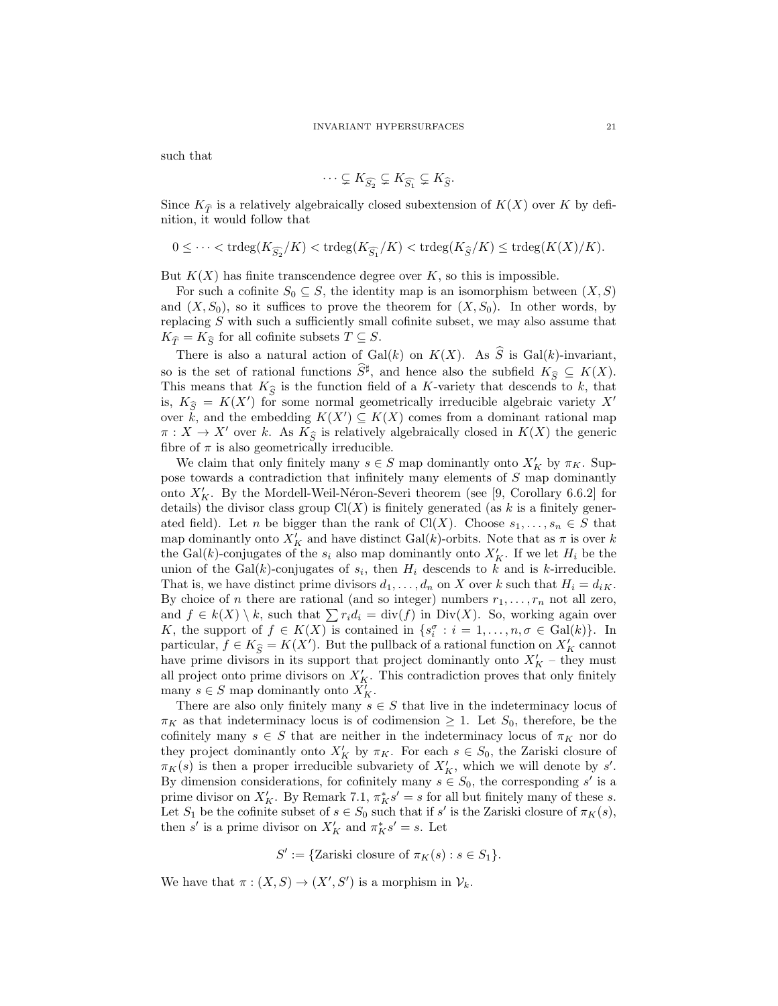such that

$$
\cdots \subsetneq K_{\widehat{S_2}} \subsetneq K_{\widehat{S_1}} \subsetneq K_{\widehat{S}}.
$$

Since  $K_{\hat{\mathcal{F}}}$  is a relatively algebraically closed subextension of  $K(X)$  over K by definition, it would follow that

$$
0 \leq \cdots < \operatorname{trdeg}(K_{\widehat{S_2}}/K) < \operatorname{trdeg}(K_{\widehat{S_1}}/K) < \operatorname{trdeg}(K_{\widehat{S}}/K) \leq \operatorname{trdeg}(K(X)/K).
$$

But  $K(X)$  has finite transcendence degree over K, so this is impossible.

For such a cofinite  $S_0 \subseteq S$ , the identity map is an isomorphism between  $(X, S)$ and  $(X, S_0)$ , so it suffices to prove the theorem for  $(X, S_0)$ . In other words, by replacing S with such a sufficiently small cofinite subset, we may also assume that  $K_{\widehat{T}} = K_{\widehat{S}}$  for all cofinite subsets  $T \subseteq S$ .

There is also a natural action of Gal(k) on  $K(X)$ . As  $\hat{S}$  is Gal(k)-invariant, so is the set of rational functions  $\widehat{S}^{\sharp}$ , and hence also the subfield  $K_{\widehat{S}} \subseteq K(X)$ .<br>This means that K is the function field of a K surjets that decouple to be that This means that  $K_{\hat{\sigma}}$  is the function field of a K-variety that descends to k, that is,  $K_{\widehat{S}} = K(X')$  for some normal geometrically irreducible algebraic variety X' over  $\tilde{k}$ , and the embedding  $K(X') \subseteq K(X)$  comes from a dominant rational map  $\pi: X \to X'$  over k. As  $K_{\widehat{S}}$  is relatively algebraically closed in  $K(X)$  the generic fibre of  $\pi$  is also geometrically irreducible.

We claim that only finitely many  $s \in S$  map dominantly onto  $X'_{K}$  by  $\pi_{K}$ . Suppose towards a contradiction that infinitely many elements of S map dominantly onto  $X'_K$ . By the Mordell-Weil-Néron-Severi theorem (see [9, Corollary 6.6.2] for details) the divisor class group  $Cl(X)$  is finitely generated (as k is a finitely generated field). Let *n* be bigger than the rank of Cl(X). Choose  $s_1, \ldots, s_n \in S$  that map dominantly onto  $X'_K$  and have distinct Gal(k)-orbits. Note that as  $\pi$  is over k the Gal(k)-conjugates of the  $s_i$  also map dominantly onto  $X'_K$ . If we let  $H_i$  be the union of the  $Gal(k)$ -conjugates of  $s_i$ , then  $H_i$  descends to k and is k-irreducible. That is, we have distinct prime divisors  $d_1, \ldots, d_n$  on X over k such that  $H_i = d_{iK}$ . By choice of *n* there are rational (and so integer) numbers  $r_1, \ldots, r_n$  not all zero, and  $f \in k(X) \setminus k$ , such that  $\sum r_i d_i = \text{div}(f)$  in Div(X). So, working again over K, the support of  $f \in K(X)$  is contained in  $\{s_i^{\sigma}: i = 1, ..., n, \sigma \in Gal(k)\}\$ . In particular,  $f \in K_{\widehat{S}} = K(X')$ . But the pullback of a rational function on  $X'_{K}$  cannot have prime divisors in its support that project dominantly onto  $X'_K$  – they must all project onto prime divisors on  $X'_K$ . This contradiction proves that only finitely many  $s \in S$  map dominantly onto  $\overline{X'_{K}}$ .

There are also only finitely many  $s \in S$  that live in the indeterminacy locus of  $\pi_K$  as that indeterminacy locus is of codimension  $\geq 1$ . Let  $S_0$ , therefore, be the cofinitely many  $s \in S$  that are neither in the indeterminacy locus of  $\pi_K$  nor do they project dominantly onto  $X'_K$  by  $\pi_K$ . For each  $s \in S_0$ , the Zariski closure of  $\pi_K(s)$  is then a proper irreducible subvariety of  $X'_K$ , which we will denote by s'. By dimension considerations, for cofinitely many  $s \in S_0$ , the corresponding s' is a prime divisor on  $X'_K$ . By Remark 7.1,  $\pi_K^* s' = s$  for all but finitely many of these s. Let  $S_1$  be the cofinite subset of  $s \in S_0$  such that if s' is the Zariski closure of  $\pi_K(s)$ , then s' is a prime divisor on  $X'_K$  and  $\pi_K^* s' = s$ . Let

 $S' := \{ \text{Zariski closure of } \pi_K(s) : s \in S_1 \}.$ 

We have that  $\pi : (X, S) \to (X', S')$  is a morphism in  $\mathcal{V}_k$ .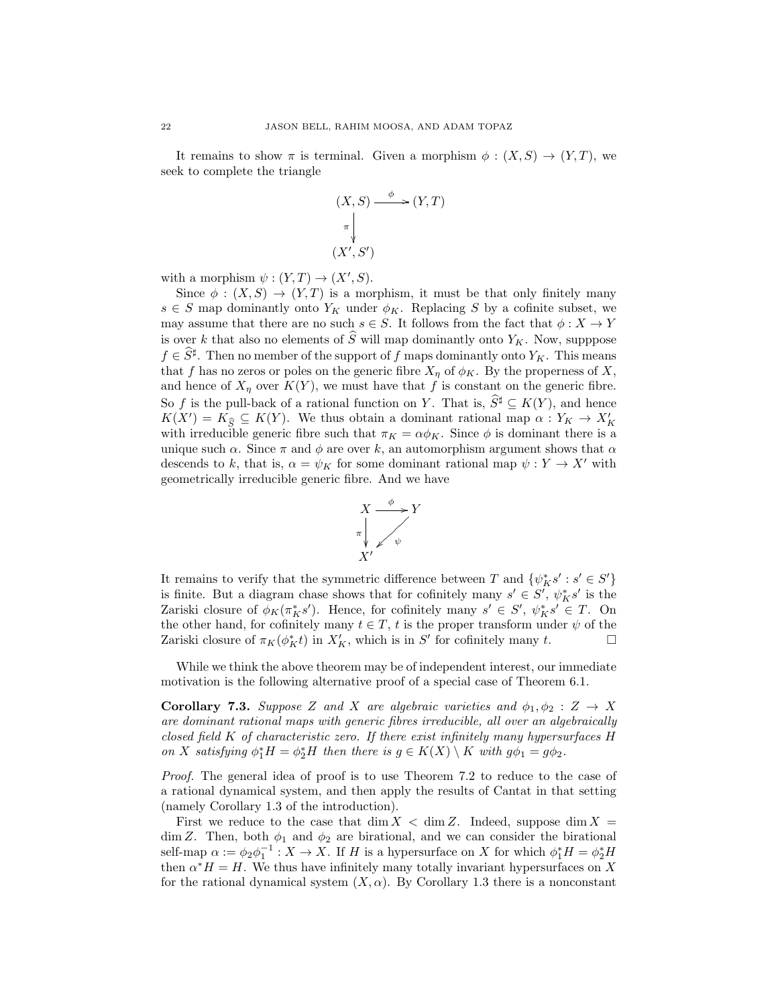It remains to show  $\pi$  is terminal. Given a morphism  $\phi : (X, S) \to (Y, T)$ , we seek to complete the triangle

$$
(X, S) \xrightarrow{\phi} (Y, T)
$$
  
\n
$$
\uparrow
$$
  
\n
$$
(X', S')
$$

with a morphism  $\psi : (Y,T) \to (X',S)$ .

Since  $\phi: (X, S) \to (Y, T)$  is a morphism, it must be that only finitely many  $s \in S$  map dominantly onto  $Y_K$  under  $\phi_K$ . Replacing S by a cofinite subset, we may assume that there are no such  $s \in S$ . It follows from the fact that  $\phi: X \to Y$ is over k that also no elements of  $\widehat{S}$  will map dominantly onto  $Y_K$ . Now, supppose  $f \in \hat{S}^{\sharp}$ . Then no member of the support of f maps dominantly onto  $Y_K$ . This means that f has no zeros or poles on the generic fibre  $X_n$  of  $\phi_K$ . By the properness of X, and hence of  $X_n$  over  $K(Y)$ , we must have that f is constant on the generic fibre. So f is the pull-back of a rational function on Y. That is,  $S^{\sharp} \subseteq K(Y)$ , and hence  $K(X') = K_{\widehat{S}} \subseteq K(Y)$ . We thus obtain a dominant rational map  $\alpha : Y_K \to X'_K$ with irreducible generic fibre such that  $\pi_K = \alpha \phi_K$ . Since  $\phi$  is dominant there is a unique such  $\alpha$ . Since  $\pi$  and  $\phi$  are over k, an automorphism argument shows that  $\alpha$ descends to k, that is,  $\alpha = \psi_K$  for some dominant rational map  $\psi : Y \to X'$  with geometrically irreducible generic fibre. And we have



It remains to verify that the symmetric difference between T and  $\{\psi^*_{K} s' : s' \in S'\}$ is finite. But a diagram chase shows that for cofinitely many  $s' \in S'$ ,  $\psi_K^* s'$  is the Zariski closure of  $\phi_K(\pi_K^*s')$ . Hence, for cofinitely many  $s' \in S'$ ,  $\psi_K^*s' \in T$ . On the other hand, for cofinitely many  $t \in T$ , t is the proper transform under  $\psi$  of the Zariski closure of  $\pi_K(\phi_K^*t)$  in  $X'_K$ , which is in S' for cofinitely many t.  $\square$ 

While we think the above theorem may be of independent interest, our immediate motivation is the following alternative proof of a special case of Theorem 6.1.

Corollary 7.3. Suppose Z and X are algebraic varieties and  $\phi_1, \phi_2 : Z \rightarrow X$ are dominant rational maps with generic fibres irreducible, all over an algebraically closed field K of characteristic zero. If there exist infinitely many hypersurfaces H on X satisfying  $\phi_1^* H = \phi_2^* H$  then there is  $g \in K(X) \setminus K$  with  $g\phi_1 = g\phi_2$ .

Proof. The general idea of proof is to use Theorem 7.2 to reduce to the case of a rational dynamical system, and then apply the results of Cantat in that setting (namely Corollary 1.3 of the introduction).

First we reduce to the case that  $\dim X < \dim Z$ . Indeed, suppose  $\dim X$ dim Z. Then, both  $\phi_1$  and  $\phi_2$  are birational, and we can consider the birational self-map  $\alpha := \phi_2 \phi_1^{-1} : X \to X$ . If H is a hypersurface on X for which  $\phi_1^* H = \phi_2^* H$ then  $\alpha^* H = H$ . We thus have infinitely many totally invariant hypersurfaces on X for the rational dynamical system  $(X, \alpha)$ . By Corollary 1.3 there is a nonconstant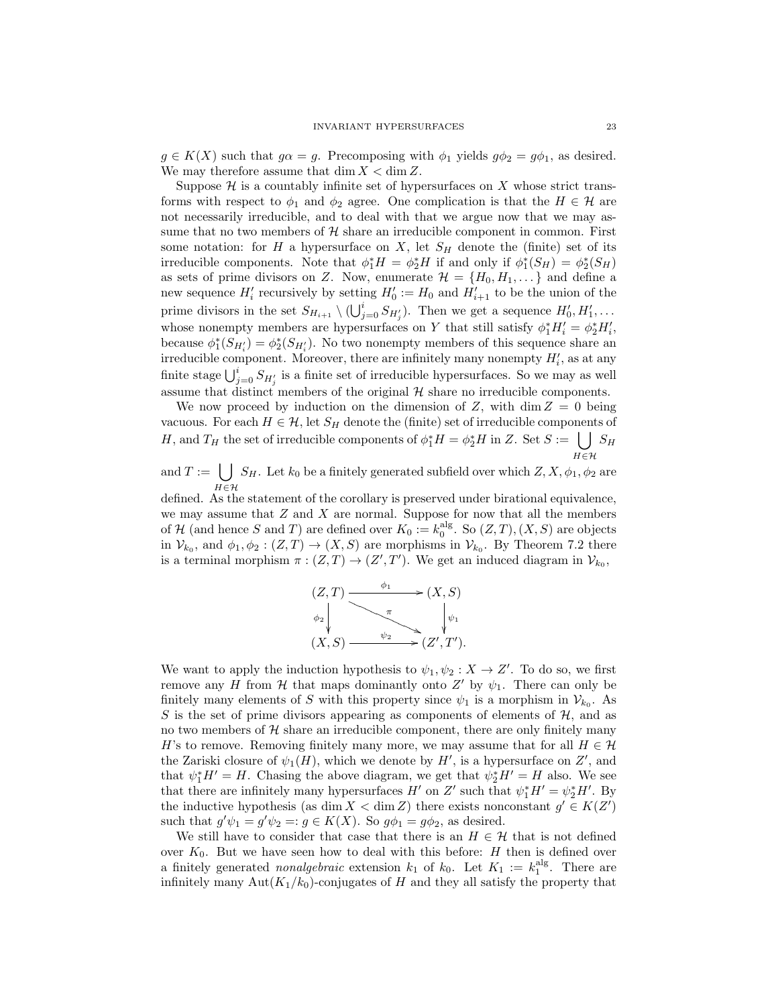$g \in K(X)$  such that  $g\alpha = g$ . Precomposing with  $\phi_1$  yields  $g\phi_2 = g\phi_1$ , as desired. We may therefore assume that  $\dim X < \dim Z$ .

Suppose  $\mathcal H$  is a countably infinite set of hypersurfaces on X whose strict transforms with respect to  $\phi_1$  and  $\phi_2$  agree. One complication is that the  $H \in \mathcal{H}$  are not necessarily irreducible, and to deal with that we argue now that we may assume that no two members of  $H$  share an irreducible component in common. First some notation: for H a hypersurface on X, let  $S_H$  denote the (finite) set of its irreducible components. Note that  $\phi_1^* H = \phi_2^* H$  if and only if  $\phi_1^*(S_H) = \phi_2^*(S_H)$ as sets of prime divisors on Z. Now, enumerate  $\mathcal{H} = \{H_0, H_1, \dots\}$  and define a new sequence  $H'_i$  recursively by setting  $H'_0 := H_0$  and  $H'_{i+1}$  to be the union of the prime divisors in the set  $S_{H_{i+1}} \setminus (\bigcup_{j=0}^{i} S_{H'_j})$ . Then we get a sequence  $H'_0, H'_1, \ldots$ whose nonempty members are hypersurfaces on Y that still satisfy  $\phi_1^* H_i' = \phi_2^* H_i'$ , because  $\phi_1^*(S_{H_i'}) = \phi_2^*(S_{H_i'})$ . No two nonempty members of this sequence share an irreducible component. Moreover, there are infinitely many nonempty  $H'_i$ , as at any finite stage  $\bigcup_{j=0}^i S_{H'_j}$  is a finite set of irreducible hypersurfaces. So we may as well assume that distinct members of the original  $H$  share no irreducible components.

We now proceed by induction on the dimension of Z, with  $\dim Z = 0$  being vacuous. For each  $H \in \mathcal{H}$ , let  $S_H$  denote the (finite) set of irreducible components of H, and  $T_H$  the set of irreducible components of  $\phi_1^* H = \phi_2^* H$  in Z. Set  $S := \bigcup S_H$  $H\widetilde{\in }\mathcal{H}$ 

and  $T := |$ H∈H  $S_H$ . Let  $k_0$  be a finitely generated subfield over which  $Z, X, \phi_1, \phi_2$  are

defined. As the statement of the corollary is preserved under birational equivalence, we may assume that  $Z$  and  $X$  are normal. Suppose for now that all the members of H (and hence S and T) are defined over  $K_0 := k_0^{\text{alg}}$ . So  $(Z, T), (X, S)$  are objects in  $\mathcal{V}_{k_0}$ , and  $\phi_1, \phi_2 : (Z,T) \to (X,S)$  are morphisms in  $\mathcal{V}_{k_0}$ . By Theorem 7.2 there is a terminal morphism  $\pi : (Z,T) \to (Z',T')$ . We get an induced diagram in  $\mathcal{V}_{k_0}$ ,



We want to apply the induction hypothesis to  $\psi_1, \psi_2 : X \to Z'$ . To do so, we first remove any H from H that maps dominantly onto Z' by  $\psi_1$ . There can only be finitely many elements of S with this property since  $\psi_1$  is a morphism in  $\mathcal{V}_{k_0}$ . As S is the set of prime divisors appearing as components of elements of  $H$ , and as no two members of  $H$  share an irreducible component, there are only finitely many H's to remove. Removing finitely many more, we may assume that for all  $H \in \mathcal{H}$ the Zariski closure of  $\psi_1(H)$ , which we denote by H', is a hypersurface on Z', and that  $\psi_1^* H' = H$ . Chasing the above diagram, we get that  $\psi_2^* H' = H$  also. We see that there are infinitely many hypersurfaces  $H'$  on Z' such that  $\psi_1^* H' = \psi_2^* H'$ . By the inductive hypothesis (as dim  $X < \dim Z$ ) there exists nonconstant  $g' \in K(Z')$ such that  $g'\psi_1 = g'\psi_2 =: g \in K(X)$ . So  $g\phi_1 = g\phi_2$ , as desired.

We still have to consider that case that there is an  $H \in \mathcal{H}$  that is not defined over  $K_0$ . But we have seen how to deal with this before:  $H$  then is defined over a finitely generated *nonalgebraic* extension  $k_1$  of  $k_0$ . Let  $K_1 := k_1^{\text{alg}}$ . There are infinitely many Aut $(K_1/k_0)$ -conjugates of H and they all satisfy the property that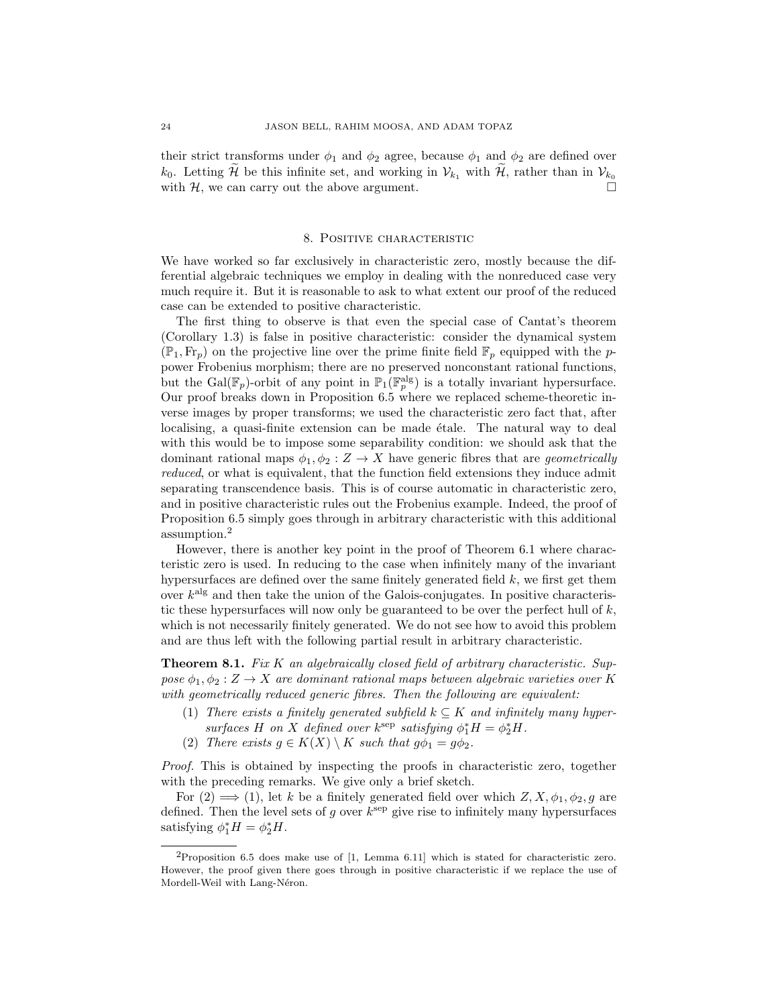their strict transforms under  $\phi_1$  and  $\phi_2$  agree, because  $\phi_1$  and  $\phi_2$  are defined over  $k_0$ . Letting  $\widetilde{\mathcal{H}}$  be this infinite set, and working in  $\mathcal{V}_{k_1}$  with  $\mathcal{H}$ , rather than in  $\mathcal{V}_{k_0}$  with  $\mathcal{H}$  we can carry out the above argument. with  $H$ , we can carry out the above argument.

# 8. Positive characteristic

We have worked so far exclusively in characteristic zero, mostly because the differential algebraic techniques we employ in dealing with the nonreduced case very much require it. But it is reasonable to ask to what extent our proof of the reduced case can be extended to positive characteristic.

The first thing to observe is that even the special case of Cantat's theorem (Corollary 1.3) is false in positive characteristic: consider the dynamical system  $(\mathbb{P}_1, Fr_p)$  on the projective line over the prime finite field  $\mathbb{F}_p$  equipped with the ppower Frobenius morphism; there are no preserved nonconstant rational functions, but the Gal( $\mathbb{F}_p$ )-orbit of any point in  $\mathbb{P}_1(\mathbb{F}_p^{\text{alg}})$  is a totally invariant hypersurface. Our proof breaks down in Proposition 6.5 where we replaced scheme-theoretic inverse images by proper transforms; we used the characteristic zero fact that, after localising, a quasi-finite extension can be made etale. The natural way to deal with this would be to impose some separability condition: we should ask that the dominant rational maps  $\phi_1, \phi_2 : Z \to X$  have generic fibres that are *geometrically* reduced, or what is equivalent, that the function field extensions they induce admit separating transcendence basis. This is of course automatic in characteristic zero, and in positive characteristic rules out the Frobenius example. Indeed, the proof of Proposition 6.5 simply goes through in arbitrary characteristic with this additional assumption.<sup>2</sup>

However, there is another key point in the proof of Theorem 6.1 where characteristic zero is used. In reducing to the case when infinitely many of the invariant hypersurfaces are defined over the same finitely generated field  $k$ , we first get them over  $k<sup>alg</sup>$  and then take the union of the Galois-conjugates. In positive characteristic these hypersurfaces will now only be guaranteed to be over the perfect hull of  $k$ , which is not necessarily finitely generated. We do not see how to avoid this problem and are thus left with the following partial result in arbitrary characteristic.

**Theorem 8.1.** Fix K an algebraically closed field of arbitrary characteristic. Suppose  $\phi_1, \phi_2 : Z \to X$  are dominant rational maps between algebraic varieties over K with geometrically reduced generic fibres. Then the following are equivalent:

- (1) There exists a finitely generated subfield  $k \subseteq K$  and infinitely many hypersurfaces H on X defined over  $k^{\text{sep}}$  satisfying  $\phi_1^* H = \phi_2^* H$ .
- (2) There exists  $g \in K(X) \setminus K$  such that  $g\phi_1 = g\phi_2$ .

Proof. This is obtained by inspecting the proofs in characteristic zero, together with the preceding remarks. We give only a brief sketch.

For  $(2) \implies (1)$ , let k be a finitely generated field over which  $Z, X, \phi_1, \phi_2, g$  are defined. Then the level sets of g over  $k^{\text{sep}}$  give rise to infinitely many hypersurfaces satisfying  $\phi_1^* H = \phi_2^* H$ .

<sup>2</sup>Proposition 6.5 does make use of [1, Lemma 6.11] which is stated for characteristic zero. However, the proof given there goes through in positive characteristic if we replace the use of Mordell-Weil with Lang-Néron.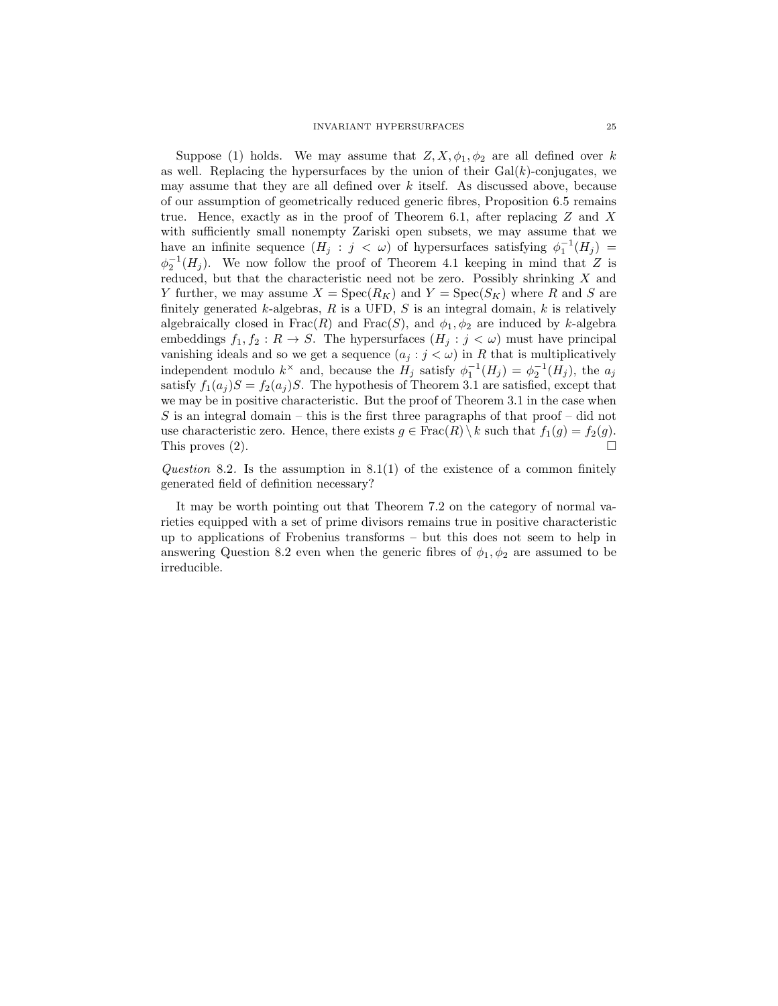Suppose (1) holds. We may assume that  $Z, X, \phi_1, \phi_2$  are all defined over k as well. Replacing the hypersurfaces by the union of their  $Gal(k)$ -conjugates, we may assume that they are all defined over  $k$  itself. As discussed above, because of our assumption of geometrically reduced generic fibres, Proposition 6.5 remains true. Hence, exactly as in the proof of Theorem 6.1, after replacing  $Z$  and  $X$ with sufficiently small nonempty Zariski open subsets, we may assume that we have an infinite sequence  $(H_j : j < \omega)$  of hypersurfaces satisfying  $\phi_1^{-1}(H_j) =$  $\phi_2^{-1}(H_j)$ . We now follow the proof of Theorem 4.1 keeping in mind that Z is reduced, but that the characteristic need not be zero. Possibly shrinking  $X$  and Y further, we may assume  $X = \text{Spec}(R_K)$  and  $Y = \text{Spec}(S_K)$  where R and S are finitely generated  $k$ -algebras,  $R$  is a UFD,  $S$  is an integral domain,  $k$  is relatively algebraically closed in  $Frac(R)$  and  $Frac(S)$ , and  $\phi_1, \phi_2$  are induced by k-algebra embeddings  $f_1, f_2 : R \to S$ . The hypersurfaces  $(H_j : j < \omega)$  must have principal vanishing ideals and so we get a sequence  $(a_j : j < \omega)$  in R that is multiplicatively independent modulo  $k^{\times}$  and, because the  $H_j$  satisfy  $\phi_1^{-1}(H_j) = \phi_2^{-1}(H_j)$ , the  $a_j$ satisfy  $f_1(a_i)S = f_2(a_i)S$ . The hypothesis of Theorem 3.1 are satisfied, except that we may be in positive characteristic. But the proof of Theorem 3.1 in the case when  $S$  is an integral domain – this is the first three paragraphs of that proof – did not use characteristic zero. Hence, there exists  $g \in \text{Frac}(R) \setminus k$  such that  $f_1(g) = f_2(g)$ . This proves (2).

Question 8.2. Is the assumption in  $8.1(1)$  of the existence of a common finitely generated field of definition necessary?

It may be worth pointing out that Theorem 7.2 on the category of normal varieties equipped with a set of prime divisors remains true in positive characteristic up to applications of Frobenius transforms – but this does not seem to help in answering Question 8.2 even when the generic fibres of  $\phi_1, \phi_2$  are assumed to be irreducible.